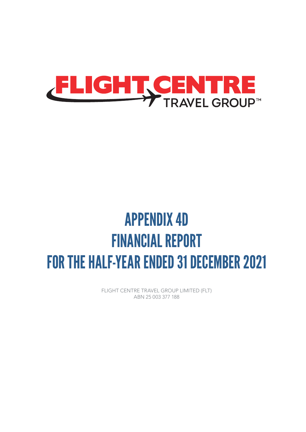

# APPENDIX 4D FINANCIAL REPORT FOR THE HALF-YEAR ENDED 31 DECEMBER 2021

FLIGHT CENTRE TRAVEL GROUP LIMITED (FLT) ABN 25 003 377 188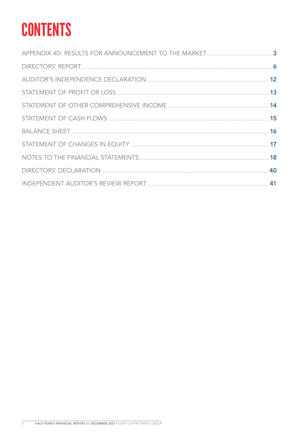# **CONTENTS**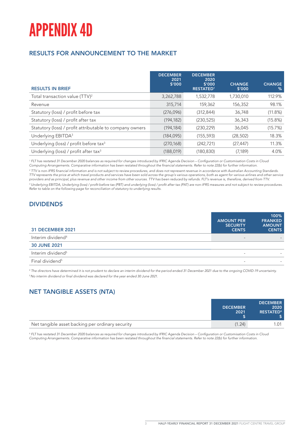# APPENDIX 4D

## RESULTS FOR ANNOUNCEMENT TO THE MARKET

| <b>RESULTS IN BRIEF</b>                                  | <b>DECEMBER</b><br>2021<br>\$'000 | <b>DECEMBER</b><br>2020<br>\$'000<br><b>RESTATED1</b> | <b>CHANGE</b><br>\$'000 | <b>CHANGE</b><br>$\%$ |
|----------------------------------------------------------|-----------------------------------|-------------------------------------------------------|-------------------------|-----------------------|
| Total transaction value (TTV) <sup>2</sup>               | 3,262,788                         | 1,532,778                                             | 1,730,010               | 112.9%                |
| Revenue                                                  | 315,714                           | 159,362                                               | 156,352                 | 98.1%                 |
| Statutory (loss) / profit before tax                     | (276,096)                         | (312, 844)                                            | 36,748                  | $(11.8\%)$            |
| Statutory (loss) / profit after tax                      | (194, 182)                        | (230, 525)                                            | 36,343                  | (15.8%)               |
| Statutory (loss) / profit attributable to company owners | (194, 184)                        | (230, 229)                                            | 36,045                  | (15.7%)               |
| Underlying EBITDA <sup>3</sup>                           | (184, 095)                        | (155, 593)                                            | (28, 502)               | 18.3%                 |
| Underlying (loss) / profit before tax <sup>3</sup>       | (270, 168)                        | (242, 721)                                            | (27, 447)               | 11.3%                 |
| Underlying (loss) / profit after tax <sup>3</sup>        | (188, 019)                        | (180, 830)                                            | (7, 189)                | 4.0%                  |

*1 FLT has restated 31 December 2020 balances as required for changes introduced by IFRIC Agenda Decision – Configuration or Customisation Costs in Cloud Computing Arrangements. Comparative information has been restated throughout the financial statements. Refer to note 22(b) for further information.*

*2 TTV is non-IFRS financial information and is not subject to review procedures, and does not represent revenue in accordance with Australian Accounting Standards. TTV represents the price at which travel products and services have been sold across the group's various operations, both as agent for various airlines and other service providers and as principal, plus revenue and other income from other sources. TTV has been reduced by refunds. FLT's revenue is, therefore, derived from TTV. 3 Underlying EBITDA, Underlying (loss) / profit before tax (PBT) and underlying (loss) / profit after tax (PAT) are non-IFRS measures and not subject to review procedures. Refer to table on the following page for reconciliation of statutory to underlying results.*

## DIVIDENDS

| <b>31 DECEMBER 2021</b>       | <b>AMOUNT PER</b><br><b>SECURITY</b><br><b>CENTS</b> | 100%<br><b>FRANKED</b><br><b>AMOUNT</b><br><b>CENTS</b> |
|-------------------------------|------------------------------------------------------|---------------------------------------------------------|
| Interim dividend <sup>4</sup> | $\sim$                                               |                                                         |
| <b>30 JUNE 2021</b>           |                                                      |                                                         |
| Interim dividend <sup>5</sup> | $\overline{\phantom{a}}$                             |                                                         |
| Final dividend <sup>5</sup>   | $\overline{\phantom{a}}$                             |                                                         |

*4 The directors have determined it is not prudent to declare an interim dividend for the period ended 31 December 2021 due to the ongoing COVID-19 uncertainty. 5 No interim dividend or final dividend was declared for the year ended 30 June 2021.* 

# NET TANGIBLE ASSETS (NTA)

|                                                  | <b>DECEMBER</b><br>2021 | <b>DECEMBER</b><br>2020<br><b>RESTATED<sup>6</sup></b> |
|--------------------------------------------------|-------------------------|--------------------------------------------------------|
| Net tangible asset backing per ordinary security | (1.24)                  |                                                        |

*6 FLT has restated 31 December 2020 balances as required for changes introduced by IFRIC Agenda Decision – Configuration or Customisation Costs in Cloud Computing Arrangements. Comparative information has been restated throughout the financial statements. Refer to note 22(b) for further information.*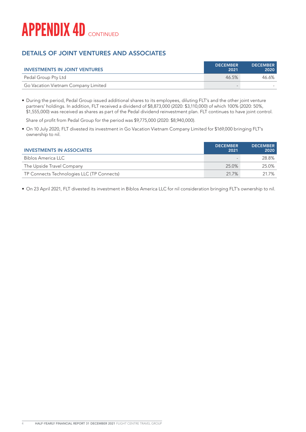

## DETAILS OF JOINT VENTURES AND ASSOCIATES

| <b>INVESTMENTS IN JOINT VENTURES</b> | <b>DECEMBER</b><br>2021 | <b>DECEMBER</b><br>2020 |
|--------------------------------------|-------------------------|-------------------------|
| Pedal Group Pty Ltd                  | 46.5%                   | 46.6%                   |
| Go Vacation Vietnam Company Limited  |                         |                         |

• During the period, Pedal Group issued additional shares to its employees, diluting FLT's and the other joint venture partners' holdings. In addition, FLT received a dividend of \$8,873,000 (2020: \$3,110,000) of which 100% (2020: 50%, \$1,555,000) was received as shares as part of the Pedal dividend reinvestment plan. FLT continues to have joint control.

Share of profit from Pedal Group for the period was \$9,775,000 (2020: \$8,940,000).

• On 10 July 2020, FLT divested its investment in Go Vacation Vietnam Company Limited for \$169,000 bringing FLT's ownership to nil.

| <b>INVESTMENTS IN ASSOCIATES</b>           | <b>DECEMBER</b><br>2021 | <b>DECEMBER</b><br>2020 |
|--------------------------------------------|-------------------------|-------------------------|
| Biblos America LLC                         |                         | 28.8%                   |
| The Upside Travel Company                  | 25.0%                   | 25.0%                   |
| TP Connects Technologies LLC (TP Connects) | 21.7%                   | 21.7%                   |

• On 23 April 2021, FLT divested its investment in Biblos America LLC for nil consideration bringing FLT's ownership to nil.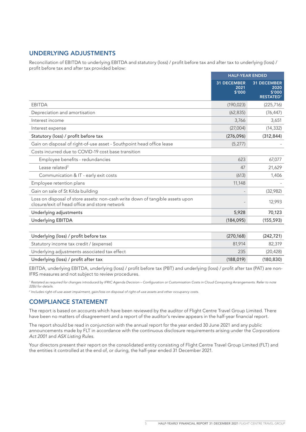## UNDERLYING ADJUSTMENTS

Reconciliation of EBITDA to underlying EBITDA and statutory (loss) / profit before tax and after tax to underlying (loss) / profit before tax and after tax provided below:

|                                                                                                                                | <b>HALF-YEAR ENDED</b>               |                                                   |
|--------------------------------------------------------------------------------------------------------------------------------|--------------------------------------|---------------------------------------------------|
|                                                                                                                                | <b>31 DECEMBER</b><br>2021<br>\$'000 | 31 DECEMBER<br>2020<br>\$'000<br><b>RESTATED1</b> |
| <b>EBITDA</b>                                                                                                                  | (190, 023)                           | (225, 716)                                        |
| Depreciation and amortisation                                                                                                  | (62, 835)                            | (76, 447)                                         |
| Interest income                                                                                                                | 3,766                                | 3,651                                             |
| Interest expense                                                                                                               | (27,004)                             | (14, 332)                                         |
| Statutory (loss) / profit before tax                                                                                           | (276,096)                            | (312, 844)                                        |
| Gain on disposal of right-of-use asset - Southpoint head office lease                                                          | (5, 277)                             |                                                   |
| Costs incurred due to COVID-19 cost base transition                                                                            |                                      |                                                   |
| Employee benefits - redundancies                                                                                               | 623                                  | 67,077                                            |
| Lease related <sup>2</sup>                                                                                                     | 47                                   | 21,629                                            |
| Communication & IT - early exit costs                                                                                          | (613)                                | 1,406                                             |
| Employee retention plans                                                                                                       | 11,148                               |                                                   |
| Gain on sale of St Kilda building                                                                                              |                                      | (32,982)                                          |
| Loss on disposal of store assets: non-cash write down of tangible assets upon<br>closure/exit of head office and store network |                                      | 12,993                                            |
| Underlying adjustments                                                                                                         | 5,928                                | 70,123                                            |
| <b>Underlying EBITDA</b>                                                                                                       | (184, 095)                           | (155, 593)                                        |
|                                                                                                                                |                                      |                                                   |
| Underlying (loss) / profit before tax                                                                                          | (270, 168)                           | (242, 721)                                        |
|                                                                                                                                |                                      |                                                   |

| Underlying (loss) / profit before tax        | (Z/U, 100) | (Z4Z, Z1)  |
|----------------------------------------------|------------|------------|
| Statutory income tax credit / (expense)      | 81.914     | 82.319     |
| Underlying adjustments associated tax effect | 235        | (20.428)   |
| Underlying (loss) / profit after tax         | (188.019)  | (180, 830) |

EBITDA, underlying EBITDA, underlying (loss) / profit before tax (PBT) and underlying (loss) / profit after tax (PAT) are non-IFRS measures and not subject to review procedures.

<sup>1</sup> Restated as required for changes introduced by IFRIC Agenda Decision – Configuration or Customisation Costs in Cloud Computing Arrangements. Refer to note *22(b) for details.*

*2 Includes right-of-use asset impairment, gain/loss on disposal of right-of-use assets and other occupancy costs.*

### COMPLIANCE STATEMENT

The report is based on accounts which have been reviewed by the auditor of Flight Centre Travel Group Limited. There have been no matters of disagreement and a report of the auditor's review appears in the half-year financial report.

The report should be read in conjunction with the annual report for the year ended 30 June 2021 and any public announcements made by FLT in accordance with the continuous disclosure requirements arising under the *Corporations Act 2001* and *ASX Listing Rules*.

Your directors present their report on the consolidated entity consisting of Flight Centre Travel Group Limited (FLT) and the entities it controlled at the end of, or during, the half-year ended 31 December 2021.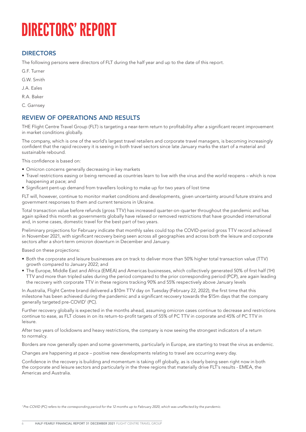# DIRECTORS' REPORT

## **DIRECTORS**

The following persons were directors of FLT during the half year and up to the date of this report.

G.F. Turner

- G.W. Smith
- J.A. Eales
- R.A. Baker
- C. Garnsey

## REVIEW OF OPERATIONS AND RESULTS

THE Flight Centre Travel Group (FLT) is targeting a near-term return to profitability after a significant recent improvement in market conditions globally.

The company, which is one of the world's largest travel retailers and corporate travel managers, is becoming increasingly confident that the rapid recovery it is seeing in both travel sectors since late January marks the start of a material and sustainable rebound.

This confidence is based on:

- Omicron concerns generally decreasing in key markets
- Travel restrictions easing or being removed as countries learn to live with the virus and the world reopens which is now happening at pace; and
- Significant pent-up demand from travellers looking to make up for two years of lost time

FLT will, however, continue to monitor market conditions and developments, given uncertainty around future strains and government responses to them and current tensions in Ukraine.

Total transaction value before refunds (gross TTV) has increased quarter-on-quarter throughout the pandemic and has again spiked this month as governments globally have relaxed or removed restrictions that have grounded international and, in some cases, domestic travel for the best part of two years.

Preliminary projections for February indicate that monthly sales could top the COVID-period gross TTV record achieved in November 2021, with significant recovery being seen across all geographies and across both the leisure and corporate sectors after a short-term omicron downturn in December and January.

Based on these projections:

- Both the corporate and leisure businesses are on track to deliver more than 50% higher total transaction value (TTV) growth compared to January 2022; and
- The Europe, Middle East and Africa (EMEA) and Americas businesses, which collectively generated 50% of first half (1H) TTV and more than tripled sales during the period compared to the prior corresponding period (PCP), are again leading the recovery with corporate TTV in these regions tracking 90% and 55% respectively above January levels

In Australia, Flight Centre brand delivered a \$10m TTV day on Tuesday (February 22, 2022), the first time that this milestone has been achieved during the pandemic and a significant recovery towards the \$15m days that the company generally targeted pre-COVID1 (PC).

Further recovery globally is expected in the months ahead, assuming omicron cases continue to decrease and restrictions continue to ease, as FLT closes in on its return-to-profit targets of 55% of PC TTV in corporate and 45% of PC TTV in leisure.

After two years of lockdowns and heavy restrictions, the company is now seeing the strongest indicators of a return to normalcy.

Borders are now generally open and some governments, particularly in Europe, are starting to treat the virus as endemic.

Changes are happening at pace – positive new developments relating to travel are occurring every day.

Confidence in the recovery is building and momentum is taking off globally, as is clearly being seen right now in both the corporate and leisure sectors and particularly in the three regions that materially drive FLT's results - EMEA, the Americas and Australia.

*1 Pre-COVID (PC) refers to the corresponding period for the 12 months up to February 2020, which was unaffected by the pandemic.*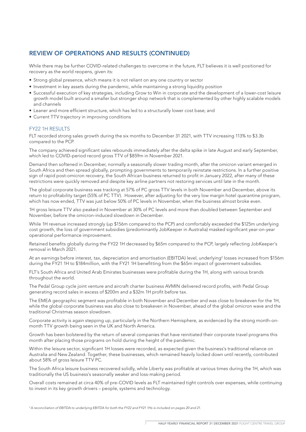## REVIEW OF OPERATIONS AND RESULTS (CONTINUED)

While there may be further COVID-related challenges to overcome in the future, FLT believes it is well positioned for recovery as the world reopens, given its:

- Strong global presence, which means it is not reliant on any one country or sector
- Investment in key assets during the pandemic, while maintaining a strong liquidity position
- Successful execution of key strategies, including Grow to Win in corporate and the development of a lower-cost leisure growth model built around a smaller but stronger shop network that is complemented by other highly scalable models and channels
- Leaner and more efficient structure, which has led to a structurally lower cost base; and
- Current TTV trajectory in improving conditions

#### **FY22 1H RESULTS**

FLT recorded strong sales growth during the six months to December 31 2021, with TTV increasing 113% to \$3.3b compared to the PCP.

The company achieved significant sales rebounds immediately after the delta spike in late August and early September, which led to COVID-period record gross TTV of \$859m in November 2021.

Demand then softened in December, normally a seasonally slower trading month, after the omicron variant emerged in South Africa and then spread globally, prompting governments to temporarily reinstate restrictions. In a further positive sign of rapid post-omicron recovery, the South African business returned to profit in January 2022, after many of these restrictions were quickly removed and despite key airline partners not restoring services until late in the month.

The global corporate business was tracking at 57% of PC gross TTV levels in both November and December, above its return to profitability target (55% of PC TTV). However, after adjusting for the very low margin hotel quarantine program, which has now ended, TTV was just below 50% of PC levels in November, when the business almost broke even.

1H gross leisure TTV also peaked in November at 30% of PC levels and more than doubled between September and November, before the omicron-induced slowdown in December.

While 1H revenue increased strongly (up \$156m compared to the PCP) and comfortably exceeded the \$125m underlying cost growth, the loss of government subsidies (predominantly JobKeeper in Australia) masked significant year-on-year operational performance improvement.

Retained benefits globally during the FY22 1H decreased by \$65m compared to the PCP, largely reflecting JobKeeper's removal in March 2021.

At an earnings before interest, tax, depreciation and amortisation (EBITDA) level, underlying<sup>2</sup> losses increased from \$156m during the FY21 1H to \$184million, with the FY21 1H benefitting from the \$65m impact of government subsidies.

FLT's South Africa and United Arab Emirates businesses were profitable during the 1H, along with various brands throughout the world.

The Pedal Group cycle joint venture and aircraft charter business AVMIN delivered record profits, with Pedal Group generating record sales in excess of \$200m and a \$32m 1H profit before tax.

The EMEA geographic segment was profitable in both November and December and was close to breakeven for the 1H, while the global corporate business was also close to breakeven in November, ahead of the global omicron wave and the traditional Christmas season slowdown.

Corporate activity is again stepping up, particularly in the Northern Hemisphere, as evidenced by the strong month-onmonth TTV growth being seen in the UK and North America.

Growth has been bolstered by the return of several companies that have reinitiated their corporate travel programs this month after placing those programs on hold during the height of the pandemic.

Within the leisure sector, significant 1H losses were recorded, as expected given the business's traditional reliance on Australia and New Zealand. Together, these businesses, which remained heavily locked down until recently, contributed about 58% of gross leisure TTV PC.

The South Africa leisure business recovered solidly, while Liberty was profitable at various times during the 1H, which was traditionally the US business's seasonally weaker and loss-making period.

Overall costs remained at circa 40% of pre-COVID levels as FLT maintained tight controls over expenses, while continuing to invest in its key growth drivers – people, systems and technology.

*<sup>2</sup> A reconciliation of EBITDA to underlying EBITDA for both the FY22 and FY21 1Hs is included on pages 20 and 21.*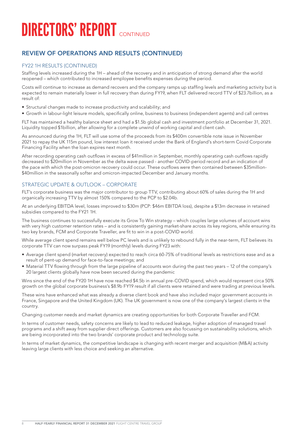# **DIRECTORS' REPORT CONTINUED**

## REVIEW OF OPERATIONS AND RESULTS (CONTINUED)

#### FY22 1H RESULTS (CONTINUED)

Staffing levels increased during the 1H – ahead of the recovery and in anticipation of strong demand after the world reopened – which contributed to increased employee benefits expenses during the period.

Costs will continue to increase as demand recovers and the company ramps up staffing levels and marketing activity but is expected to remain materially lower in full recovery than during FY19, when FLT delivered record TTV of \$23.7billion, as a result of:

- Structural changes made to increase productivity and scalability; and
- Growth in labour-light leisure models, specifically online, business to business (independent agents) and call centres

FLT has maintained a healthy balance sheet and had a \$1.5b global cash and investment portfolio at December 31, 2021. Liquidity topped \$1billion, after allowing for a complete unwind of working capital and client cash.

As announced during the 1H, FLT will use some of the proceeds from its \$400m convertible note issue in November 2021 to repay the UK 115m pound, low interest loan it received under the Bank of England's short-term Covid Corporate Financing Facility when the loan expires next month.

After recording operating cash outflows in excess of \$41million in September, monthly operating cash outflows rapidly decreased to \$20million in November as the delta wave passed - another COVID-period record and an indication of the pace with which the post-omicron recovery could occur. These outflows were then contained between \$35million- \$40million in the seasonally softer and omicron-impacted December and January months.

### STRATEGIC UPDATE & OUTLOOK – CORPORATE

FLT's corporate business was the major contributor to group TTV, contributing about 60% of sales during the 1H and organically increasing TTV by almost 150% compared to the PCP to \$2.04b.

At an underlying EBITDA level, losses improved to \$30m (PCP: \$46m EBITDA loss), despite a \$13m decrease in retained subsidies compared to the FY21 1H.

The business continues to successfully execute its Grow To Win strategy – which couples large volumes of account wins with very high customer retention rates – and is consistently gaining market-share across its key regions, while ensuring its two key brands, FCM and Corporate Traveller, are fit to win in a post-COVID world.

While average client spend remains well below PC levels and is unlikely to rebound fully in the near-term, FLT believes its corporate TTV can now surpass peak FY19 (monthly) levels during FY23 with:

- Average client spend (market recovery) expected to reach circa 60-75% of traditional levels as restrictions ease and as a result of pent-up demand for face-to-face meetings; and
- Material TTV flowing through from the large pipeline of accounts won during the past two years 12 of the company's 20 largest clients globally have now been secured during the pandemic

Wins since the end of the FY20 1H have now reached \$4.5b in annual pre-COVID spend, which would represent circa 50% growth on the global corporate business's \$8.9b FY19 result if all clients were retained and were trading at previous levels.

These wins have enhanced what was already a diverse client book and have also included major government accounts in France, Singapore and the United Kingdom (UK). The UK government is now one of the company's largest clients in the country.

Changing customer needs and market dynamics are creating opportunities for both Corporate Traveller and FCM.

In terms of customer needs, safety concerns are likely to lead to reduced leakage, higher adoption of managed travel programs and a shift away from supplier direct offerings. Customers are also focussing on sustainability solutions, which are being incorporated into the two brands' corporate product and technology suite.

In terms of market dynamics, the competitive landscape is changing with recent merger and acquisition (M&A) activity leaving large clients with less choice and seeking an alternative.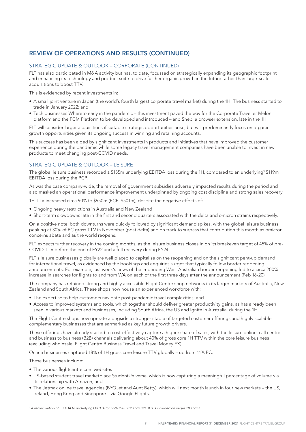## REVIEW OF OPERATIONS AND RESULTS (CONTINUED)

#### STRATEGIC UPDATE & OUTLOOK – CORPORATE (CONTINUED)

FLT has also participated in M&A activity but has, to date, focussed on strategically expanding its geographic footprint and enhancing its technology and product suite to drive further organic growth in the future rather than large-scale acquisitions to boost TTV.

This is evidenced by recent investments in:

- A small joint venture in Japan (the world's fourth largest corporate travel market) during the 1H. The business started to trade in January 2022; and
- Tech businesses Whereto early in the pandemic this investment paved the way for the Corporate Traveller Melon platform and the FCM Platform to be developed and introduced – and Shep, a browser extension, late in the 1H

FLT will consider larger acquisitions if suitable strategic opportunities arise, but will predominantly focus on organic growth opportunities given its ongoing success in winning and retaining accounts.

This success has been aided by significant investments in products and initiatives that have improved the customer experience during the pandemic while some legacy travel management companies have been unable to invest in new products to meet changing post-COVID needs.

#### STRATEGIC UPDATE & OUTLOOK - LEISURE

The global leisure business recorded a \$155m underlying EBITDA loss during the 1H, compared to an underlying<sup>3</sup> \$119m EBITDA loss during the PCP.

As was the case company-wide, the removal of government subsidies adversely impacted results during the period and also masked an operational performance improvement underpinned by ongoing cost discipline and strong sales recovery.

1H TTV increased circa 90% to \$950m (PCP: \$501m), despite the negative effects of:

- Ongoing heavy restrictions in Australia and New Zealand
- Short-term slowdowns late in the first and second quarters associated with the delta and omicron strains respectively.

On a positive note, both downturns were quickly followed by significant demand spikes, with the global leisure business peaking at 30% of PC gross TTV in November (post delta) and on track to surpass that contribution this month as omicron concerns abate and as the world reopens.

FLT expects further recovery in the coming months, as the leisure business closes in on its breakeven target of 45% of pre-COVID TTV before the end of FY22 and a full recovery during FY24.

FLT's leisure businesses globally are well placed to capitalise on the reopening and on the significant pent-up demand for international travel, as evidenced by the bookings and enquiries surges that typically follow border reopening announcements. For example, last week's news of the impending West Australian border reopening led to a circa 200% increase in searches for flights to and from WA on each of the first three days after the announcement (Feb 18-20).

The company has retained strong and highly accessible Flight Centre shop networks in its larger markets of Australia, New Zealand and South Africa. These shops now house an experienced workforce with:

- The expertise to help customers navigate post-pandemic travel complexities; and
- Access to improved systems and tools, which together should deliver greater productivity gains, as has already been seen in various markets and businesses, including South Africa, the US and Ignite in Australia, during the 1H.

The Flight Centre shops now operate alongside a stronger stable of targeted customer offerings and highly scalable complementary businesses that are earmarked as key future growth drivers.

These offerings have already started to cost-effectively capture a higher share of sales, with the leisure online, call centre and business to business (B2B) channels delivering about 40% of gross core 1H TTV within the core leisure business (excluding wholesale, Flight Centre Business Travel and Travel Money FX).

Online businesses captured 18% of 1H gross core leisure TTV globally – up from 11% PC.

These businesses include:

- The various flightcentre.com websites
- US-based student travel marketplace StudentUniverse, which is now capturing a meaningful percentage of volume via its relationship with Amazon, and
- The Jetmax online travel agencies (BYOJet and Aunt Betty), which will next month launch in four new markets the US, Ireland, Hong Kong and Singapore – via Google Flights.

*3 A reconciliation of EBITDA to underlying EBITDA for both the FY22 and FY21 1Hs is included on pages 20 and 21.*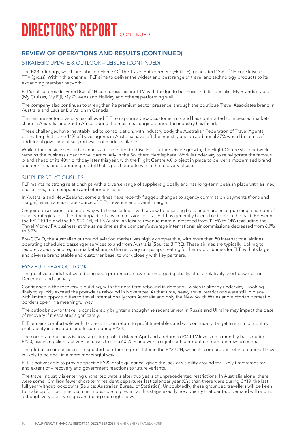# **DIRECTORS' REPORT CONTINUED**

## REVIEW OF OPERATIONS AND RESULTS (CONTINUED)

#### STRATEGIC UPDATE & OUTLOOK – LEISURE (CONTINUED)

The B2B offerings, which are labelled Home Of The Travel Entrepreneur (HOTTE), generated 12% of 1H core leisure TTV (gross). Within this channel, FLT aims to deliver the widest and best range of travel and technology products to its expanding member network.

FLT's call centres delivered 8% of 1H core gross leisure TTV, with the Ignite business and its specialist My Brands stable (My Cruises, My Fiji, My Queensland Holiday and others) performing well.

The company also continues to strengthen its premium sector presence, through the boutique Travel Associates brand in Australia and Laurier Du Vallon in Canada.

This leisure sector diversity has allowed FLT to capture a broad customer mix and has contributed to increased marketshare in Australia and South Africa during the most challenging period the industry has faced.

These challenges have inevitably led to consolidation, with industry body the Australian Federation of Travel Agents estimating that some 14% of travel agents in Australia have left the industry and an additional 37% would be at risk if additional government support was not made available.

While other businesses and channels are expected to drive FLT's future leisure growth, the Flight Centre shop network remains the business's backbone, particularly in the Southern Hemisphere. Work is underway to reinvigorate the famous brand ahead of its 40th birthday later this year, with the Flight Centre 4.0 project in place to deliver a modernised brand and omni-channel operating model that is positioned to win in the recovery phase.

#### SUPPLIER RELATIONSHIPS

FLT maintains strong relationships with a diverse range of suppliers globally and has long-term deals in place with airlines, cruise lines, tour companies and other partners.

In Australia and New Zealand, some airlines have recently flagged changes to agency commission payments (front-end margin), which are just one source of FLT's revenue and overall margin.

Ongoing discussions are underway with these airlines, with a view to adjusting back-end margins or pursuing a number of other strategies, to offset the impacts of any commission loss, as FLT has generally been able to do in the past. Between the FY2010 1H and the FY2020 1H, FLT's Australian leisure revenue margin increased from 12.6% to 14% (excluding the Travel Money FX business) at the same time as the company's average international air commissions decreased from 6.7% to 3.7%.

Pre-COVID, the Australian outbound aviation market was highly competitive, with more than 50 international airlines operating scheduled passenger services to and from Australia (Source: BITRE). These airlines are typically looking to restore capacity and regain market-share as the recovery ramps up, creating further opportunities for FLT, with its large and diverse brand stable and customer base, to work closely with key partners.

#### FY22 FULL YEAR OUTLOOK

The positive trends that were being seen pre-omicron have re-emerged globally, after a relatively short downturn in December and January.

Confidence in the recovery is building, with the near-term rebound in demand – which is already underway – looking likely to quickly exceed the post-delta rebound in November. At that time, heavy travel restrictions were still in place, with limited opportunities to travel internationally from Australia and only the New South Wales and Victorian domestic borders open in a meaningful way.

The outlook now for travel is considerably brighter although the recent unrest in Russia and Ukraine may impact the pace of recovery if it escalates significantly.

FLT remains comfortable with its pre-omicron return to profit timetables and will continue to target a return to monthly profitability in corporate and leisure during FY22.

The corporate business is now targeting profit in March-April and a return to PC TTV levels on a monthly basis during FY23, assuming client activity increases to circa 60-75% and with a significant contribution from our new accounts.

The global leisure business is expected to return to profit later in the FY22 2H, when its core product of international travel is likely to be back in a more meaningful way

FLT is not yet able to provide specific FY22 profit guidance, given the lack of visibility around the likely timeframes for – and extent of – recovery and government reactions to future variants.

The travel industry is entering uncharted waters after two years of unprecedented restrictions. In Australia alone, there were some 10million fewer short-term resident departures last calendar year (CY) than there were during CY19, the last full year without lockdowns (Source: Australian Bureau of Statistics). Undoubtedly, these grounded travellers will be keen to make up for lost time, but it is impossible to predict at this stage exactly how quickly that pent-up demand will return, although very positive signs are being seen right now.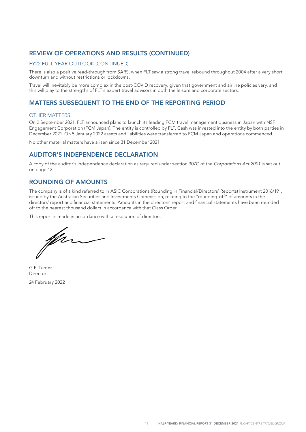## REVIEW OF OPERATIONS AND RESULTS (CONTINUED)

#### FY22 FULL YEAR OUTLOOK (CONTINUED)

There is also a positive read-through from SARS, when FLT saw a strong travel rebound throughout 2004 after a very short downturn and without restrictions or lockdowns.

Travel will inevitably be more complex in the post-COVID recovery, given that government and airline policies vary, and this will play to the strengths of FLT's expert travel advisors in both the leisure and corporate sectors.

## MATTERS SUBSEQUENT TO THE END OF THE REPORTING PERIOD

#### OTHER MATTERS

On 2 September 2021, FLT announced plans to launch its leading FCM travel management business in Japan with NSF Engagement Corporation (FCM Japan). The entity is controlled by FLT. Cash was invested into the entity by both parties in December 2021. On 5 January 2022 assets and liabilities were transferred to FCM Japan and operations commenced.

No other material matters have arisen since 31 December 2021.

### AUDITOR'S INDEPENDENCE DECLARATION

A copy of the auditor's independence declaration as required under section 307C of the *Corporations Act 2001* is set out on page 12.

### ROUNDING OF AMOUNTS

The company is of a kind referred to in ASIC Corporations (Rounding in Financial/Directors' Reports) Instrument 2016/191, issued by the Australian Securities and Investments Commission, relating to the "rounding-off" of amounts in the directors' report and financial statements. Amounts in the directors' report and financial statements have been rounded off to the nearest thousand dollars in accordance with that Class Order.

This report is made in accordance with a resolution of directors.

ffer

G.F. Turner Director 24 February 2022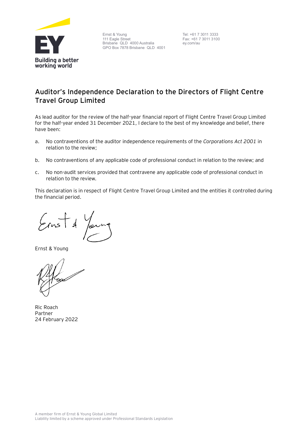

Ernst & Young 111 Eagle Street Brisbane QLD 4000 Australia GPO Box 7878 Brisbane QLD 4001

Tel: +61 7 3011 3333 Fax: +61 7 3011 3100 ey.com/au

# **Auditor's Independence Declaration to the Directors of Flight Centre Travel Group Limited**

As lead auditor for the review of the half-year financial report of Flight Centre Travel Group Limited for the half-year ended 31 December 2021, I declare to the best of my knowledge and belief, there have been:

- a. No contraventions of the auditor independence requirements of the *Corporations Act 2001* in relation to the review;
- b. No contraventions of any applicable code of professional conduct in relation to the review; and
- c. No non-audit services provided that contravene any applicable code of professional conduct in relation to the review.

This declaration is in respect of Flight Centre Travel Group Limited and the entities it controlled during the financial period.

Ernst & Young

Ric Roach Partner 24 February 2022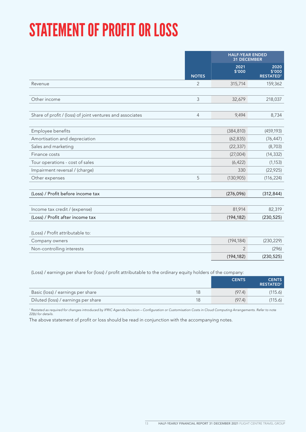# STATEMENT OF PROFIT OR LOSS

|                                                           |                | <b>HALF-YEAR ENDED</b><br><b>31 DECEMBER</b> |                                    |
|-----------------------------------------------------------|----------------|----------------------------------------------|------------------------------------|
|                                                           | <b>NOTES</b>   | 2021<br>\$'000                               | 2020<br>\$'000<br><b>RESTATED1</b> |
| Revenue                                                   | 2              | 315,714                                      | 159,362                            |
|                                                           |                |                                              |                                    |
| Other income                                              | 3              | 32,679                                       | 218,037                            |
|                                                           |                |                                              |                                    |
| Share of profit / (loss) of joint ventures and associates | $\overline{4}$ | 9,494                                        | 8,734                              |
|                                                           |                |                                              |                                    |
| Employee benefits                                         |                | (384, 810)                                   | (459, 193)                         |
| Amortisation and depreciation                             |                | (62, 835)                                    | (76, 447)                          |
| Sales and marketing                                       |                | (22, 337)                                    | (8,703)                            |
| Finance costs                                             |                | (27,004)                                     | (14, 332)                          |
| Tour operations - cost of sales                           |                | (6, 422)                                     | (1, 153)                           |
| Impairment reversal / (charge)                            |                | 330                                          | (22, 925)                          |
| Other expenses                                            | 5              | (130,905)                                    | (116, 224)                         |
|                                                           |                |                                              |                                    |
| (Loss) / Profit before income tax                         |                | (276, 096)                                   | (312, 844)                         |
|                                                           |                |                                              |                                    |
| Income tax credit / (expense)                             |                | 81,914                                       | 82,319                             |
| (Loss) / Profit after income tax                          |                | (194, 182)                                   | (230, 525)                         |
|                                                           |                |                                              |                                    |
| (Loss) / Profit attributable to:                          |                |                                              |                                    |
| Company owners                                            |                | (194, 184)                                   | (230, 229)                         |
| Non-controlling interests                                 |                | $\overline{2}$                               | (296)                              |
|                                                           |                | (194, 182)                                   | (230, 525)                         |

(Loss) / earnings per share for (loss) / profit attributable to the ordinary equity holders of the company:

|                                     |    | <b>CENTS</b> | <b>CENTS</b><br><b>RESTATED1</b> |
|-------------------------------------|----|--------------|----------------------------------|
| Basic (loss) / earnings per share   | 18 | (97.4)       | (115.6)                          |
| Diluted (loss) / earnings per share | 18 | (97.4)       | (115.6)                          |

<sup>1</sup> Restated as required for changes introduced by IFRIC Agenda Decision – Configuration or Customisation Costs in Cloud Computing Arrangements. Refer to note *22(b) for details.*

The above statement of profit or loss should be read in conjunction with the accompanying notes.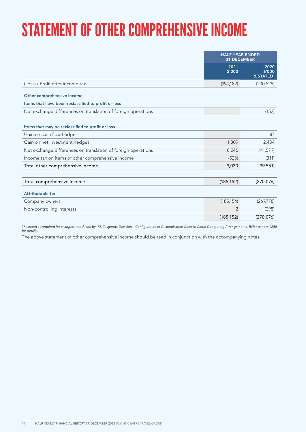# STATEMENT OF OTHER COMPREHENSIVE INCOME

|                                                               | <b>HALF-YEAR ENDED</b><br><b>31 DECEMBER</b> |                                    |
|---------------------------------------------------------------|----------------------------------------------|------------------------------------|
|                                                               | 2021<br>\$'000                               | 2020<br>\$'000<br><b>RESTATED1</b> |
| (Loss) / Profit after income tax                              | (194, 182)                                   | (230, 525)                         |
| Other comprehensive income:                                   |                                              |                                    |
| Items that have been reclassified to profit or loss           |                                              |                                    |
| Net exchange differences on translation of foreign operations |                                              | (152)                              |
| Items that may be reclassified to profit or loss              |                                              |                                    |
| Gain on cash flow hedges                                      | $\overline{\phantom{0}}$                     | 87                                 |
| Gain on net investment hedges                                 | 1,309                                        | 2,404                              |
| Net exchange differences on translation of foreign operations | 8,246                                        | (41, 579)                          |
| Income tax on items of other comprehensive income             | (525)                                        | (311)                              |
| Total other comprehensive income                              | 9,030                                        | (39, 551)                          |
|                                                               |                                              |                                    |
| Total comprehensive income                                    | (185, 152)                                   | (270, 076)                         |
| Attributable to:                                              |                                              |                                    |
| Company owners                                                | (185, 154)                                   | (269, 778)                         |
| Non-controlling interests                                     | 2                                            | (298)                              |
|                                                               | (185, 152)                                   | (270, 076)                         |
|                                                               |                                              |                                    |

*1 Restated as required for changes introduced by IFRIC Agenda Decision – Configuration or Customisation Costs in Cloud Computing Arrangements. Refer to note 22(b) for details.*

The above statement of other comprehensive income should be read in conjunction with the accompanying notes.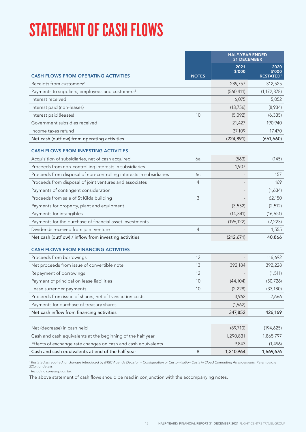# STATEMENT OF CASH FLOWS

|                                                                     |              | <b>HALF-YEAR ENDED</b><br><b>31 DECEMBER</b> |                                    |
|---------------------------------------------------------------------|--------------|----------------------------------------------|------------------------------------|
| <b>CASH FLOWS FROM OPERATING ACTIVITIES</b>                         | <b>NOTES</b> | 2021<br>\$'000                               | 2020<br>\$'000<br><b>RESTATED1</b> |
| Receipts from customers <sup>2</sup>                                |              | 289,757                                      | 312,525                            |
| Payments to suppliers, employees and customers <sup>2</sup>         |              | (560, 411)                                   | (1, 172, 378)                      |
| Interest received                                                   |              | 6,075                                        | 5,052                              |
| Interest paid (non-leases)                                          |              | (13, 756)                                    | (8,934)                            |
| Interest paid (leases)                                              | 10           | (5,092)                                      | (6, 335)                           |
| Government subsidies received                                       |              | 21,427                                       | 190,940                            |
| Income taxes refund                                                 |              | 37,109                                       | 17,470                             |
| Net cash (outflow) from operating activities                        |              | (224, 891)                                   | (661, 660)                         |
| <b>CASH FLOWS FROM INVESTING ACTIVITIES</b>                         |              |                                              |                                    |
| Acquisition of subsidiaries, net of cash acquired                   | 6a           | (563)                                        | (145)                              |
| Proceeds from non-controlling interests in subsidiaries             |              | 1,907                                        |                                    |
| Proceeds from disposal of non-controlling interests in subsidiaries | 6c           |                                              | 157                                |
| Proceeds from disposal of joint ventures and associates             | 4            |                                              | 169                                |
| Payments of contingent consideration                                |              |                                              | (1,634)                            |
| Proceeds from sale of St Kilda building                             | 3            |                                              | 62,150                             |
| Payments for property, plant and equipment                          |              | (3, 552)                                     | (2, 512)                           |
| Payments for intangibles                                            |              | (14, 341)                                    | (16, 651)                          |
| Payments for the purchase of financial asset investments            |              | (196, 122)                                   | (2, 223)                           |
| Dividends received from joint venture                               | 4            |                                              | 1,555                              |
| Net cash (outflow) / inflow from investing activities               |              | (212, 671)                                   | 40,866                             |
| <b>CASH FLOWS FROM FINANCING ACTIVITIES</b>                         |              |                                              |                                    |
| Proceeds from borrowings                                            | 12           |                                              | 116,692                            |
| Net proceeds from issue of convertible note                         | 13           | 392,184                                      | 392,228                            |
| Repayment of borrowings                                             | 12           |                                              | (1, 511)                           |
| Payment of principal on lease liabilities                           | 10           | (44, 104)                                    | (50, 726)                          |
| Lease surrender payments                                            | 10           | (2,228)                                      | (33, 180)                          |
| Proceeds from issue of shares, net of transaction costs             |              | 3,962                                        | 2,666                              |
| Payments for purchase of treasury shares                            |              | (1,962)                                      |                                    |
| Net cash inflow from financing activities                           |              | 347,852                                      | 426,169                            |
|                                                                     |              |                                              |                                    |
| Net (decrease) in cash held                                         |              | (89, 710)                                    | (194, 625)                         |
| Cash and cash equivalents at the beginning of the half year         |              | 1,290,831                                    | 1,865,797                          |
| Effects of exchange rate changes on cash and cash equivalents       |              | 9,843                                        | (1,496)                            |
| Cash and cash equivalents at end of the half year                   | 8            | 1,210,964                                    | 1,669,676                          |

*<sup>1</sup> Restated as required for changes introduced by IFRIC Agenda Decision – Configuration or Customisation Costs in Cloud Computing Arrangements. Refer to note 22(b) for details.*

*2 Including consumption tax*

The above statement of cash flows should be read in conjunction with the accompanying notes.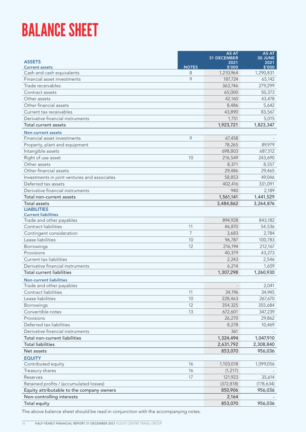# BALANCE SHEET

|                                              |                | <b>AS AT</b><br><b>31 DECEMBER</b> | AS AT<br>30 JUNE |
|----------------------------------------------|----------------|------------------------------------|------------------|
| <b>ASSETS</b>                                |                | 2021                               | 2021             |
| <b>Current assets</b>                        | <b>NOTES</b>   | \$'000                             | \$'000           |
| Cash and cash equivalents                    | 8              | 1,210,964                          | 1,290,831        |
| Financial asset investments                  | 9              | 187,724                            | 65,142           |
| Trade receivables                            |                | 363,746                            | 279,299          |
| Contract assets                              |                | 65,000                             | 50,373           |
| Other assets                                 |                | 42,160                             | 43,478           |
| Other financial assets                       |                | 8,486                              | 5,642            |
| Current tax receivables                      |                | 43,890                             | 83,567           |
| Derivative financial instruments             |                | 1,751                              | 5,015            |
| Total current assets                         |                | 1,923,721                          | 1,823,347        |
| <b>Non-current assets</b>                    |                |                                    |                  |
| Financial asset investments                  | 9              | 67,458                             |                  |
| Property, plant and equipment                |                | 78,265                             | 89,979           |
| Intangible assets                            |                | 698,803                            | 687,512          |
| Right of use asset                           | 10             | 216,549                            | 243,690          |
| Other assets                                 |                | 8,371                              | 8,557            |
| Other financial assets                       |                | 29,486                             | 29,465           |
| Investments in joint ventures and associates |                | 58,853                             | 49,046           |
| Deferred tax assets                          |                | 402,416                            | 331,091          |
| Derivative financial instruments             |                | 940                                | 2,189            |
| Total non-current assets                     |                | 1,561,141                          | 1,441,529        |
| Total assets                                 |                | 3,484,862                          | 3,264,876        |
| <b>LIABILITIES</b>                           |                |                                    |                  |
| <b>Current liabilities</b>                   |                |                                    |                  |
| Trade and other payables                     |                | 894,928                            | 843,182          |
| Contract liabilities                         | 11             | 46,870                             | 54,536           |
| Contingent consideration                     | $\overline{7}$ | 3,683                              | 2,784            |
| Lease liabilities                            | 10             | 96,787                             | 100,783          |
| Borrowings                                   | 12             | 216,194                            | 212,167          |
| Provisions                                   |                | 40,379                             | 43,273           |
| Current tax liabilities                      |                | 2,243                              | 2,546            |
| Derivative financial instruments             |                | 6,214                              | 1,659            |
| <b>Total current liabilities</b>             |                | 1,307,298                          | 1,260,930        |
| <b>Non-current liabilities</b>               |                |                                    |                  |
| Trade and other payables                     |                |                                    | 2,041            |
| Contract liabilities                         | 11             | 34,196                             | 34,945           |
| Lease liabilities                            | 10             | 228,463                            | 267,670          |
| Borrowings                                   | 12             | 354,325                            | 355,684          |
| Convertible notes                            | 13             | 672,601                            | 347,239          |
| Provisions                                   |                | 26,270                             | 29,862           |
| Deferred tax liabilities                     |                | 8,278                              | 10,469           |
| Derivative financial instruments             |                | 361                                |                  |
| Total non-current liabilities                |                | 1,324,494                          | 1,047,910        |
| <b>Total liabilities</b>                     |                | 2,631,792                          | 2,308,840        |
| Net assets                                   |                | 853,070                            | 956,036          |
| <b>EQUITY</b>                                |                |                                    |                  |
| Contributed equity                           | 16             | 1,103,018                          | 1,099,056        |
| Treasury shares                              | 16             | (1, 217)                           |                  |
| Reserves                                     | 17             | 121,923                            | 35,614           |
| Retained profits / (accumulated losses)      |                | (372, 818)                         | (178, 634)       |
| Equity attributable to the company owners    |                | 850,906                            | 956,036          |
| Non-controlling interests                    |                | 2,164                              |                  |
| Total equity                                 |                | 853,070                            | 956,036          |

The above balance sheet should be read in conjunction with the accompanying notes.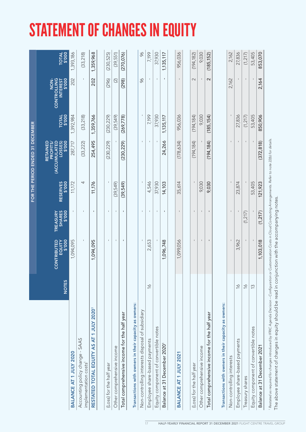# STATEMENT OF CHANGES IN EQUITY

|                                                         |                          |                                 |                                            |                           | FOR THE PERIOD ENDED 31 DECEMBER                                        |                 |                                                 |                 |
|---------------------------------------------------------|--------------------------|---------------------------------|--------------------------------------------|---------------------------|-------------------------------------------------------------------------|-----------------|-------------------------------------------------|-----------------|
|                                                         | <b>NOTES</b>             | \$'000<br>CONTRIBUTED<br>EQUITY | <b>SHARES</b><br>\$'000<br><b>TREASURY</b> | <b>RESERVES</b><br>\$'000 | <b>(ACCUMULATED)</b><br>\$'000<br>RETAINED<br>LOSSES)<br><b>PROFITS</b> | TOTAL<br>\$'000 | CONTROLLING<br>3'000<br>NON-<br><b>INTEREST</b> | TOTAL<br>\$'000 |
| BALANCE AT 1 JULY 2020                                  |                          | 1,094,095                       | ĭ.                                         | 11,172                    | 287,717                                                                 | 1,392,984       | 202                                             | 1,393,186       |
| Accounting policy change - SAAS<br>implementation costs |                          |                                 |                                            | 4                         | (33, 222)                                                               | (33, 218)       | $\mathbf I$                                     | (33, 218)       |
| RESTATED TOTAL EQUITY AS AT 1 JULY 2020'                |                          | 1,094,095                       | $\mathbf{I}$                               | 11,176                    | 254,495                                                                 | 1,359,766       | 202                                             | 1,359,968       |
|                                                         |                          |                                 |                                            |                           |                                                                         |                 |                                                 |                 |
| (Loss) for the half year                                |                          | $\mathbf I$                     | $\mathbf{I}$                               |                           | (230, 229)                                                              | (230, 229)      | (296)                                           | (230, 525)      |
| Other comprehensive income                              |                          |                                 |                                            | (39,549)                  |                                                                         | (39,549)        |                                                 | (39, 551)       |
| Total comprehensive income for the half year            |                          | I.                              | I.                                         | (39,549)                  | (230, 229)                                                              | (269,778)       | (298)                                           | (270, 076)      |
| Transactions with owners in their capacity as owners:   |                          |                                 |                                            |                           |                                                                         |                 |                                                 |                 |
| Non-controlling interests disposal of subsidiary        |                          |                                 | $\mathbf I$                                |                           |                                                                         |                 | $\infty$                                        | 96              |
| Employee share-based payments                           | $\frac{1}{2}$            | 2,653                           |                                            | 4,546                     |                                                                         | 7,199           |                                                 | 7,199           |
| Equity component of convertible notes                   |                          |                                 |                                            | 37,930                    |                                                                         | 37,930          |                                                 | 37,930          |
| Balance at 31 December 2020'                            |                          | 1,096,748                       | $\blacksquare$                             | 14,103                    | 24,266                                                                  | 1,135,117       | $\blacksquare$                                  | 1,135,117       |
|                                                         |                          |                                 |                                            |                           |                                                                         |                 |                                                 |                 |
| BALANCE AT 1 JULY 2021                                  |                          | 1,099,056                       |                                            | 35,614                    | (178, 634)                                                              | 956,036         | $\blacksquare$                                  | 956,036         |
|                                                         |                          |                                 |                                            |                           |                                                                         |                 |                                                 |                 |
| (Loss) for the half year                                |                          |                                 |                                            |                           | (194, 184)                                                              | (194, 184)      | $\sim$                                          | (194, 182)      |
| Other comprehensive income                              |                          |                                 |                                            | 9,030                     |                                                                         | 9,030           |                                                 | 9,030           |
| Total comprehensive income for the half year            |                          |                                 | $\mathbf{I}$                               | 9,030                     | (194, 184)                                                              | (185, 154)      | $\sim$                                          | (185, 152)      |
| Transactions with owners in their capacity as owners:   |                          |                                 |                                            |                           |                                                                         |                 |                                                 |                 |
| Non-controlling interests                               |                          |                                 |                                            |                           |                                                                         |                 | 2,162                                           | 2,162           |
| Employee share-based payments                           | $\frac{1}{2}$            | 3,962                           |                                            | 23,874                    |                                                                         | 27,836          |                                                 | 27,836          |
| Treasury shares                                         | $\frac{1}{2}$            | $\mathbf I$                     | (1, 217)                                   |                           |                                                                         | (1, 217)        | $\mathbf I$                                     | (1, 217)        |
| Equity component of convertible notes                   | $\widetilde{\mathbb{C}}$ |                                 |                                            | 53,405                    |                                                                         | 53,405          |                                                 | 53,405          |
| Balance at 31 December 2021                             |                          | 1,103,018                       | (1, 217)                                   | 121,923                   | (372, 818)                                                              | 850,906         | 2,164                                           | 853,070         |

Restated as required for changes introduced by IFRIC Agenda Decision – Configuration or Customisation Costs in Cloud Computing Arrangements. Refer to note 22(b) for details. *1 Restated as required for changes introduced by IFRIC Agenda Decision – Configuration or Customisation Costs in Cloud Computing Arrangements. Refer to note 22(b) for details.*

The above statement of changes in equity should be read in conjunction with the accompanying notes. The above statement of changes in equity should be read in conjunction with the accompanying notes.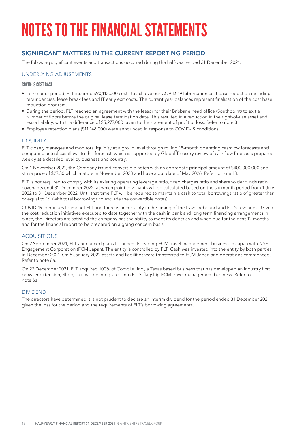## SIGNIFICANT MATTERS IN THE CURRENT REPORTING PERIOD

The following significant events and transactions occurred during the half-year ended 31 December 2021:

#### UNDERLYING ADJUSTMENTS

#### COVID-19 COST BASE

- In the prior period, FLT incurred \$90,112,000 costs to achieve our COVID-19 hibernation cost base reduction including redundancies, lease break fees and IT early exit costs. The current year balances represent finalisation of the cost base reduction program.
- During the period, FLT reached an agreement with the lessor for their Brisbane head office (Southpoint) to exit a number of floors before the original lease termination date. This resulted in a reduction in the right-of-use asset and lease liability, with the difference of \$5,277,000 taken to the statement of profit or loss. Refer to note 3.
- Employee retention plans (\$11,148,000) were announced in response to COVID-19 conditions.

#### LIQUIDITY

FLT closely manages and monitors liquidity at a group level through rolling 18-month operating cashflow forecasts and comparing actual cashflows to this forecast, which is supported by Global Treasury review of cashflow forecasts prepared weekly at a detailed level by business and country.

On 1 November 2021, the Company issued convertible notes with an aggregate principal amount of \$400,000,000 and strike price of \$27.30 which mature in November 2028 and have a put date of May 2026. Refer to note 13.

FLT is not required to comply with its existing operating leverage ratio, fixed charges ratio and shareholder funds ratio covenants until 31 December 2022, at which point covenants will be calculated based on the six month period from 1 July 2022 to 31 December 2022. Until that time FLT will be required to maintain a cash to total borrowings ratio of greater than or equal to 1:1 (with total borrowings to exclude the convertible notes).

COVID-19 continues to impact FLT and there is uncertainty in the timing of the travel rebound and FLT's revenues. Given the cost reduction initiatives executed to date together with the cash in bank and long term financing arrangements in place, the Directors are satisfied the company has the ability to meet its debts as and when due for the next 12 months, and for the financial report to be prepared on a going concern basis.

#### ACQUISITIONS

On 2 September 2021, FLT announced plans to launch its leading FCM travel management business in Japan with NSF Engagement Corporation (FCM Japan). The entity is controlled by FLT. Cash was invested into the entity by both parties in December 2021. On 5 January 2022 assets and liabilities were transferred to FCM Japan and operations commenced. Refer to note 6a.

On 22 December 2021, FLT acquired 100% of Compl.ai Inc., a Texas based business that has developed an industry first browser extension, Shep, that will be integrated into FLT's flagship FCM travel management business. Refer to note 6a.

#### DIVIDEND

The directors have determined it is not prudent to declare an interim dividend for the period ended 31 December 2021 given the loss for the period and the requirements of FLT's borrowing agreements.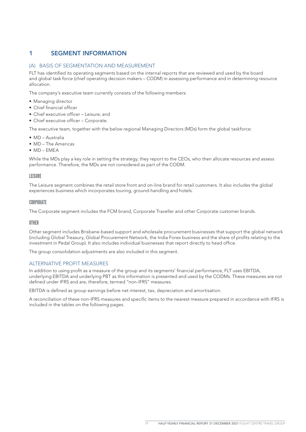## 1 SEGMENT INFORMATION

#### (A) BASIS OF SEGMENTATION AND MEASUREMENT

FLT has identified its operating segments based on the internal reports that are reviewed and used by the board and global task force (chief operating decision makers – CODM) in assessing performance and in determining resource allocation.

The company's executive team currently consists of the following members:

- Managing director
- Chief financial officer
- Chief executive officer Leisure; and
- Chief executive officer Corporate.

The executive team, together with the below regional Managing Directors (MDs) form the global taskforce:

- MD Australia
- MD The Americas
- MD EMEA

While the MDs play a key role in setting the strategy, they report to the CEOs, who then allocate resources and assess performance. Therefore, the MDs are not considered as part of the CODM.

#### **LEISURE**

The Leisure segment combines the retail store front and on-line brand for retail customers. It also includes the global experiences business which incorporates touring, ground-handling and hotels.

#### CORPORATE

The Corporate segment includes the FCM brand, Corporate Traveller and other Corporate customer brands.

#### OTHER

Other segment includes Brisbane-based support and wholesale procurement businesses that support the global network (including Global Treasury, Global Procurement Network, the India Forex business and the share of profits relating to the investment in Pedal Group). It also includes individual businesses that report directly to head office.

The group consolidation adjustments are also included in this segment.

#### ALTERNATIVE PROFIT MEASURES

In addition to using profit as a measure of the group and its segments' financial performance, FLT uses EBITDA, underlying EBITDA and underlying PBT as this information is presented and used by the CODMs. These measures are not defined under IFRS and are, therefore, termed "non-IFRS" measures.

EBITDA is defined as group earnings before net interest, tax, depreciation and amortisation.

A reconciliation of these non-IFRS measures and specific items to the nearest measure prepared in accordance with IFRS is included in the tables on the following pages.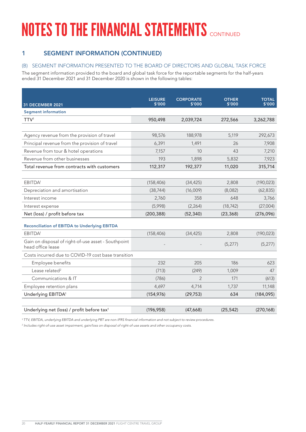## 1 SEGMENT INFORMATION (CONTINUED)

### (B) SEGMENT INFORMATION PRESENTED TO THE BOARD OF DIRECTORS AND GLOBAL TASK FORCE

The segment information provided to the board and global task force for the reportable segments for the half-years ended 31 December 2021 and 31 December 2020 is shown in the following tables:

|                                                                          | <b>LEISURE</b><br>\$'000 | <b>CORPORATE</b><br>\$'000 | <b>OTHER</b><br>\$'000 | <b>TOTAL</b><br>\$'000 |
|--------------------------------------------------------------------------|--------------------------|----------------------------|------------------------|------------------------|
| 31 DECEMBER 2021<br><b>Segment information</b>                           |                          |                            |                        |                        |
|                                                                          |                          |                            |                        |                        |
| TTV <sup>1</sup>                                                         | 950,498                  | 2,039,724                  | 272,566                | 3,262,788              |
|                                                                          |                          |                            |                        |                        |
| Agency revenue from the provision of travel                              | 98,576                   | 188,978                    | 5,119                  | 292,673                |
| Principal revenue from the provision of travel                           | 6,391                    | 1,491                      | 26                     | 7,908                  |
| Revenue from tour & hotel operations                                     | 7,157                    | 10                         | 43                     | 7,210                  |
| Revenue from other businesses                                            | 193                      | 1,898                      | 5,832                  | 7,923                  |
| Total revenue from contracts with customers                              | 112,317                  | 192,377                    | 11,020                 | 315,714                |
|                                                                          |                          |                            |                        |                        |
| EBITDA <sup>1</sup>                                                      | (158, 406)               | (34, 425)                  | 2,808                  | (190, 023)             |
| Depreciation and amortisation                                            | (38, 744)                | (16,009)                   | (8,082)                | (62, 835)              |
| Interest income                                                          | 2,760                    | 358                        | 648                    | 3,766                  |
| Interest expense                                                         | (5,998)                  | (2, 264)                   | (18, 742)              | (27,004)               |
| Net (loss) / profit before tax                                           | (200, 388)               | (52, 340)                  | (23, 368)              | (276, 096)             |
| <b>Reconciliation of EBITDA to Underlying EBITDA</b>                     |                          |                            |                        |                        |
| EBITDA <sup>1</sup>                                                      | (158, 406)               | (34, 425)                  | 2,808                  | (190, 023)             |
| Gain on disposal of right-of-use asset - Southpoint<br>head office lease |                          |                            | (5, 277)               | (5, 277)               |
| Costs incurred due to COVID-19 cost base transition                      |                          |                            |                        |                        |
| Employee benefits                                                        | 232                      | 205                        | 186                    | 623                    |
| Lease related <sup>2</sup>                                               | (713)                    | (249)                      | 1,009                  | 47                     |
| Communications & IT                                                      | (786)                    | 2                          | 171                    | (613)                  |
| Employee retention plans                                                 | 4,697                    | 4,714                      | 1,737                  | 11,148                 |
| Underlying EBITDA <sup>1</sup>                                           | (154, 976)               | (29, 753)                  | 634                    | (184, 095)             |
|                                                                          |                          |                            |                        |                        |
| Underlying net (loss) / profit before tax <sup>1</sup>                   | (196, 958)               | (47,668)                   | (25, 542)              | (270, 168)             |

<sup>1</sup>*TTV, EBITDA, underlying EBITDA and underlying PBT are non-IFRS financial information and not subject to review procedures.*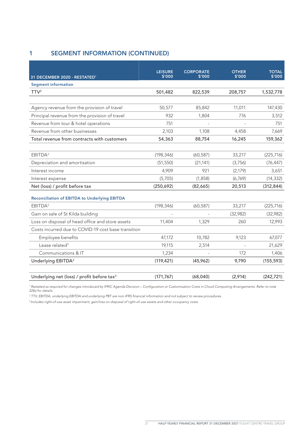## 1 SEGMENT INFORMATION (CONTINUED)

| 31 DECEMBER 2020 - RESTATED <sup>1</sup>               | <b>LEISURE</b><br>\$'000 | <b>CORPORATE</b><br>\$'000 | <b>OTHER</b><br>\$'000 | <b>TOTAL</b><br>\$'000 |
|--------------------------------------------------------|--------------------------|----------------------------|------------------------|------------------------|
| <b>Segment information</b>                             |                          |                            |                        |                        |
| TTV <sup>2</sup>                                       | 501,482                  | 822,539                    | 208,757                | 1,532,778              |
|                                                        |                          |                            |                        |                        |
| Agency revenue from the provision of travel            | 50,577                   | 85,842                     | 11,011                 | 147,430                |
| Principal revenue from the provision of travel         | 932                      | 1,804                      | 776                    | 3,512                  |
| Revenue from tour & hotel operations                   | 751                      |                            |                        | 751                    |
| Revenue from other businesses                          | 2,103                    | 1,108                      | 4,458                  | 7,669                  |
| Total revenue from contracts with customers            | 54,363                   | 88,754                     | 16,245                 | 159,362                |
| EBITDA <sup>2</sup>                                    | (198, 346)               | (60, 587)                  |                        |                        |
|                                                        |                          |                            | 33,217                 | (225, 716)             |
| Depreciation and amortisation                          | (51, 550)                | (21, 141)                  | (3,756)                | (76, 447)              |
| Interest income                                        | 4,909                    | 921                        | (2,179)                | 3,651                  |
| Interest expense                                       | (5,705)                  | (1,858)                    | (6,769)                | (14, 332)              |
| Net (loss) / profit before tax                         | (250, 692)               | (82,665)                   | 20,513                 | (312, 844)             |
| <b>Reconciliation of EBITDA to Underlying EBITDA</b>   |                          |                            |                        |                        |
| EBITDA <sup>2</sup>                                    | (198, 346)               | (60, 587)                  | 33,217                 | (225, 716)             |
| Gain on sale of St Kilda building                      |                          |                            | (32,982)               | (32,982)               |
| Loss on disposal of head office and store assets       | 11,404                   | 1,329                      | 260                    | 12,993                 |
| Costs incurred due to COVID-19 cost base transition    |                          |                            |                        |                        |
| Employee benefits                                      | 47,172                   | 10,782                     | 9,123                  | 67,077                 |
| Lease related <sup>3</sup>                             | 19,115                   | 2,514                      |                        | 21,629                 |
| Communications & IT                                    | 1,234                    |                            | 172                    | 1,406                  |
| Underlying EBITDA <sup>2</sup>                         | (119, 421)               | (45,962)                   | 9,790                  | (155, 593)             |
| Underlying net (loss) / profit before tax <sup>2</sup> | (171, 767)               | (68,040)                   | (2,914)                | (242, 721)             |

<sup>1</sup> Restated as required for changes introduced by IFRIC Agenda Decision – Configuration or Customisation Costs in Cloud Computing Arrangements. Refer to note *22(b) for details.*

*2 TTV, EBITDA, underlying EBITDA and underlying PBT are non-IFRS financial information and not subject to review procedures.*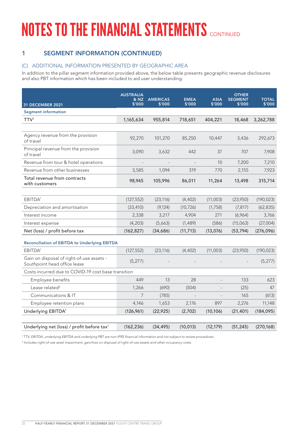# 1 SEGMENT INFORMATION (CONTINUED)

### (C) ADDITIONAL INFORMATION PRESENTED BY GEOGRAPHIC AREA

In addition to the pillar segment information provided above, the below table presents geographic revenue disclosures and also PBT information which has been included to aid user understanding.

| 31 DECEMBER 2021                                                          | <b>AUSTRALIA</b><br>& NZ<br>\$'000 | <b>AMERICAS</b><br>\$'000 | <b>EMEA</b><br>\$'000 | <b>ASIA</b><br>\$'000 | <b>OTHER</b><br><b>SEGMENT</b><br>\$'000 | <b>TOTAL</b><br>\$'000 |
|---------------------------------------------------------------------------|------------------------------------|---------------------------|-----------------------|-----------------------|------------------------------------------|------------------------|
| <b>Segment information</b>                                                |                                    |                           |                       |                       |                                          |                        |
| TTV <sup>1</sup>                                                          | 1,165,634                          | 955,814                   | 718,651               | 404,221               | 18,468                                   | 3,262,788              |
|                                                                           |                                    |                           |                       |                       |                                          |                        |
| Agency revenue from the provision<br>of travel                            | 92,270                             | 101,270                   | 85,250                | 10,447                | 3,436                                    | 292,673                |
| Principal revenue from the provision<br>of travel                         | 3,090                              | 3,632                     | 442                   | 37                    | 707                                      | 7,908                  |
| Revenue from tour & hotel operations                                      |                                    |                           |                       | 10                    | 7,200                                    | 7,210                  |
| Revenue from other businesses                                             | 3,585                              | 1,094                     | 319                   | 770                   | 2,155                                    | 7,923                  |
| Total revenue from contracts<br>with customers                            | 98,945                             | 105,996                   | 86,011                | 11,264                | 13,498                                   | 315,714                |
|                                                                           |                                    |                           |                       |                       |                                          |                        |
| EBITDA <sup>1</sup>                                                       | (127, 552)                         | (23, 116)                 | (4, 402)              | (11,003)              | (23,950)                                 | (190, 023)             |
| Depreciation and amortisation                                             | (33, 410)                          | (9, 124)                  | (10, 726)             | (1,758)               | (7, 817)                                 | (62, 835)              |
| Interest income                                                           | 2,338                              | 3,217                     | 4,904                 | 271                   | (6,964)                                  | 3,766                  |
| Interest expense                                                          | (4, 203)                           | (5,663)                   | (1,489)               | (586)                 | (15,063)                                 | (27,004)               |
| Net (loss) / profit before tax                                            | (162, 827)                         | (34,686)                  | (11, 713)             | (13,076)              | (53, 794)                                | (276, 096)             |
| <b>Reconciliation of EBITDA to Underlying EBITDA</b>                      |                                    |                           |                       |                       |                                          |                        |
| EBITDA <sup>1</sup>                                                       | (127, 552)                         | (23, 116)                 | (4, 402)              | (11,003)              | (23,950)                                 | (190, 023)             |
| Gain on disposal of right-of-use assets -<br>Southpoint head office lease | (5, 277)                           |                           |                       |                       |                                          | (5, 277)               |
| Costs incurred due to COVID-19 cost base transition                       |                                    |                           |                       |                       |                                          |                        |
| Employee benefits                                                         | 449                                | 13                        | 28                    |                       | 133                                      | 623                    |
| Lease related <sup>2</sup>                                                | 1,266                              | (690)                     | (504)                 |                       | (25)                                     | 47                     |
| Communications & IT                                                       | $\overline{7}$                     | (785)                     |                       |                       | 165                                      | (613)                  |
| Employee retention plans                                                  | 4,146                              | 1,653                     | 2,176                 | 897                   | 2,276                                    | 11,148                 |
| Underlying EBITDA <sup>1</sup>                                            | (126, 961)                         | (22, 925)                 | (2,702)               | (10, 106)             | (21, 401)                                | (184, 095)             |
|                                                                           |                                    |                           |                       |                       |                                          |                        |
| Underlying net (loss) / profit before tax <sup>1</sup>                    | (162, 236)                         | (34, 495)                 | (10, 013)             | (12, 179)             | (51, 245)                                | (270, 168)             |

<sup>1</sup>*TTV, EBITDA, underlying EBITDA and underlying PBT are non-IFRS financial information and not subject to review procedures.*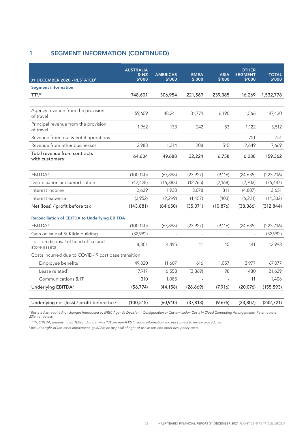# 1 SEGMENT INFORMATION (CONTINUED)

|                                                        | <b>AUSTRALIA</b><br>& NZ | <b>AMERICAS</b> | <b>EMEA</b> | <b>ASIA</b> | <b>OTHER</b><br><b>SEGMENT</b> | <b>TOTAL</b> |
|--------------------------------------------------------|--------------------------|-----------------|-------------|-------------|--------------------------------|--------------|
| 31 DECEMBER 2020 - RESTATED <sup>1</sup>               | \$'000                   | \$'000          | \$'000      | \$'000      | \$'000                         | \$'000       |
| <b>Segment information</b>                             |                          |                 |             |             |                                |              |
| TTV <sup>2</sup>                                       | 748,601                  | 306,954         | 221,569     | 239,385     | 16,269                         | 1,532,778    |
|                                                        |                          |                 |             |             |                                |              |
| Agency revenue from the provision<br>of travel         | 59,659                   | 48,241          | 31,774      | 6,190       | 1,566                          | 147,430      |
| Principal revenue from the provision<br>of travel      | 1,962                    | 133             | 242         | 53          | 1,122                          | 3,512        |
| Revenue from tour & hotel operations                   |                          |                 |             |             | 751                            | 751          |
| Revenue from other businesses                          | 2,983                    | 1,314           | 208         | 515         | 2,649                          | 7,669        |
| Total revenue from contracts<br>with customers         | 64,604                   | 49,688          | 32,224      | 6,758       | 6,088                          | 159,362      |
|                                                        |                          |                 |             |             |                                |              |
| EBITDA <sup>2</sup>                                    | (100, 140)               | (67, 898)       | (23,927)    | (9, 116)    | (24, 635)                      | (225, 716)   |
| Depreciation and amortisation                          | (42, 428)                | (16, 383)       | (12,765)    | (2,168)     | (2,703)                        | (76, 447)    |
| Interest income                                        | 2,639                    | 1,930           | 3,078       | 811         | (4,807)                        | 3,651        |
| Interest expense                                       | (3,952)                  | (2, 299)        | (1, 457)    | (403)       | (6, 221)                       | (14, 332)    |
| Net (loss) / profit before tax                         | (143, 881)               | (84, 650)       | (35,071)    | (10, 876)   | (38, 366)                      | (312, 844)   |
| <b>Reconciliation of EBITDA to Underlying EBITDA</b>   |                          |                 |             |             |                                |              |
| EBITDA <sup>2</sup>                                    | (100, 140)               | (67, 898)       | (23,927)    | (9, 116)    | (24, 635)                      | (225, 716)   |
| Gain on sale of St Kilda building                      | (32,982)                 |                 |             |             |                                | (32,982)     |
| Loss on disposal of head office and<br>store assets    | 8,301                    | 4,495           | 11          | 45          | 141                            | 12,993       |
| Costs incurred due to COVID-19 cost base transition    |                          |                 |             |             |                                |              |
| Employee benefits                                      | 49,820                   | 11,607          | 616         | 1,057       | 3,977                          | 67,077       |
| Lease related <sup>3</sup>                             | 17,917                   | 6,553           | (3,369)     | 98          | 430                            | 21,629       |
| Communications & IT                                    | 310                      | 1,085           |             |             | 11                             | 1,406        |
| Underlying EBITDA <sup>2</sup>                         | (56, 774)                | (44, 158)       | (26, 669)   | (7,916)     | (20, 076)                      | (155, 593)   |
|                                                        |                          |                 |             |             |                                |              |
| Underlying net (loss) / profit before tax <sup>2</sup> | (100, 515)               | (60, 910)       | (37, 813)   | (9,676)     | (33, 807)                      | (242, 721)   |

<sup>1</sup> Restated as required for changes introduced by IFRIC Agenda Decision – Configuration or Customisation Costs in Cloud Computing Arrangements. Refer to note *22(b) for details.*

*2 TTV, EBITDA, underlying EBITDA and underlying PBT are non-IFRS financial information and not subject to review procedures.*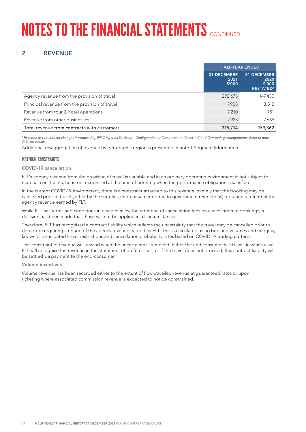# **NOTES TO THE FINANCIAL STATEMENTS** CONTINUED

# 2 REVENUE

|                                                | <b>HALF-YEAR ENDED</b>               |                                                          |
|------------------------------------------------|--------------------------------------|----------------------------------------------------------|
|                                                | <b>31 DECEMBER</b><br>2021<br>\$′000 | <b>31 DECEMBER</b><br>2020<br>\$′000<br><b>RESTATED1</b> |
| Agency revenue from the provision of travel    | 292,673                              | 147,430                                                  |
| Principal revenue from the provision of travel | 7,908                                | 3,512                                                    |
| Revenue from tour & hotel operations           | 7,210                                | 751                                                      |
| Revenue from other businesses                  | 7,923                                | 7,669                                                    |
| Total revenue from contracts with customers    | 315,714                              | 159,362                                                  |

<sup>1</sup> Restated as required for changes introduced by IFRIC Agenda Decision – Configuration or Customisation Costs in Cloud Computing Arrangements. Refer to note *22(b) for details.*

Additional disaggregation of revenue by geographic region is presented in note 1 Segment Information.

#### MATERIAL CONSTRAINTS

#### COVID-19 cancellation

FLT's agency revenue from the provision of travel is variable and in an ordinary operating environment is not subject to material constraints, hence is recognised at the time of ticketing when the performance obligation is satisfied.

In the current COVID-19 environment, there is a constraint attached to this revenue, namely that the booking may be cancelled prior to travel (either by the supplier, end-consumer or due to government restrictions) requiring a refund of the agency revenue earned by FLT.

While FLT has terms and conditions in place to allow the retention of cancellation fees on cancellation of bookings, a decision has been made that these will not be applied in all circumstances.

Therefore, FLT has recognised a contract liability which reflects the uncertainty that the travel may be cancelled prior to departure requiring a refund of the agency revenue earned by FLT. This is calculated using booking volumes and margins, known or anticipated travel restrictions and cancellation probability rates based on COVID-19 trading patterns.

This constraint of revenue will unwind when the uncertainty is removed. Either the end consumer will travel, in which case FLT will recognise the revenue in the statement of profit or loss, or if the travel does not proceed, this contract liability will be settled via payment to the end-consumer.

#### Volume incentives

Volume revenue has been recorded either to the extent of flown/availed revenue at guaranteed rates or upon ticketing where associated commission revenue is expected to not be constrained.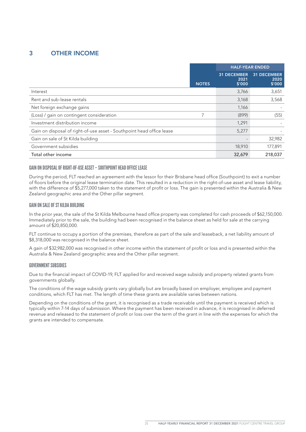## 3 OTHER INCOME

|                                                                       |              | <b>HALF-YEAR ENDED</b>               |                                      |
|-----------------------------------------------------------------------|--------------|--------------------------------------|--------------------------------------|
|                                                                       | <b>NOTES</b> | <b>31 DECEMBER</b><br>2021<br>\$'000 | <b>31 DECEMBER</b><br>2020<br>\$′000 |
| Interest                                                              |              | 3,766                                | 3,651                                |
| Rent and sub-lease rentals                                            |              | 3,168                                | 3,568                                |
| Net foreign exchange gains                                            |              | 1,166                                |                                      |
| (Loss) / gain on contingent consideration                             |              | (899)                                | (55)                                 |
| Investment distribution income                                        |              | 1,291                                |                                      |
| Gain on disposal of right-of-use asset - Southpoint head office lease |              | 5,277                                |                                      |
| Gain on sale of St Kilda building                                     |              |                                      | 32,982                               |
| Government subsidies                                                  |              | 18,910                               | 177,891                              |
| Total other income                                                    |              | 32,679                               | 218,037                              |

#### GAIN ON DISPOSAL OF RIGHT-OF-USE ASSET – SOUTHPOINT HEAD OFFICE LEASE

During the period, FLT reached an agreement with the lessor for their Brisbane head office (Southpoint) to exit a number of floors before the original lease termination date. This resulted in a reduction in the right-of-use asset and lease liability, with the difference of \$5,277,000 taken to the statement of profit or loss. The gain is presented within the Australia & New Zealand geographic area and the Other pillar segment.

#### GAIN ON SALE OF ST KILDA BUILDING

In the prior year, the sale of the St Kilda Melbourne head office property was completed for cash proceeds of \$62,150,000. Immediately prior to the sale, the building had been recognised in the balance sheet as held for sale at the carrying amount of \$20,850,000.

FLT continue to occupy a portion of the premises, therefore as part of the sale and leaseback, a net liability amount of \$8,318,000 was recognised in the balance sheet.

A gain of \$32,982,000 was recognised in other income within the statement of profit or loss and is presented within the Australia & New Zealand geographic area and the Other pillar segment.

#### GOVERNMENT SUBSIDIES

Due to the financial impact of COVID-19, FLT applied for and received wage subsidy and property related grants from governments globally.

The conditions of the wage subsidy grants vary globally but are broadly based on employer, employee and payment conditions, which FLT has met. The length of time these grants are available varies between nations.

Depending on the conditions of the grant, it is recognised as a trade receivable until the payment is received which is typically within 7-14 days of submission. Where the payment has been received in advance, it is recognised in deferred revenue and released to the statement of profit or loss over the term of the grant in line with the expenses for which the grants are intended to compensate.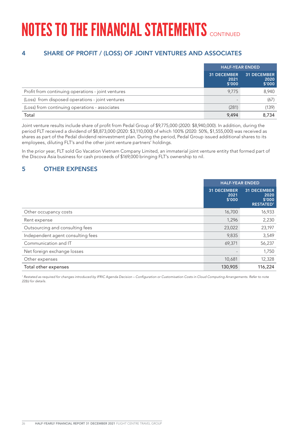# 4 SHARE OF PROFIT / (LOSS) OF JOINT VENTURES AND ASSOCIATES

|                                                    | <b>HALF-YEAR ENDED</b>               |                                      |
|----------------------------------------------------|--------------------------------------|--------------------------------------|
|                                                    | <b>31 DECEMBER</b><br>2021<br>\$′000 | <b>31 DECEMBER</b><br>2020<br>\$′000 |
| Profit from continuing operations - joint ventures | 9.775                                | 8,940                                |
| (Loss) from disposed operations - joint ventures   |                                      | (67)                                 |
| (Loss) from continuing operations - associates     | (281)                                | (139)                                |
| Total                                              | 9.494                                | 8.734                                |

Joint venture results include share of profit from Pedal Group of \$9,775,000 (2020: \$8,940,000). In addition, during the period FLT received a dividend of \$8,873,000 (2020: \$3,110,000) of which 100% (2020: 50%, \$1,555,000) was received as shares as part of the Pedal dividend reinvestment plan. During the period, Pedal Group issued additional shares to its employees, diluting FLT's and the other joint venture partners' holdings.

In the prior year, FLT sold Go Vacation Vietnam Company Limited, an immaterial joint venture entity that formed part of the Discova Asia business for cash proceeds of \$169,000 bringing FLT's ownership to nil.

## 5 OTHER EXPENSES

|                                   | <b>HALF-YEAR ENDED</b>               |                                                          |
|-----------------------------------|--------------------------------------|----------------------------------------------------------|
|                                   | <b>31 DECEMBER</b><br>2021<br>\$'000 | <b>31 DECEMBER</b><br>2020<br>\$'000<br><b>RESTATED1</b> |
| Other occupancy costs             | 16,700                               | 16,933                                                   |
| Rent expense                      | 1,296                                | 2,230                                                    |
| Outsourcing and consulting fees   | 23,022                               | 23,197                                                   |
| Independent agent consulting fees | 9,835                                | 3,549                                                    |
| Communication and IT              | 69,371                               | 56,237                                                   |
| Net foreign exchange losses       |                                      | 1,750                                                    |
| Other expenses                    | 10,681                               | 12,328                                                   |
| Total other expenses              | 130,905                              | 116,224                                                  |

<sup>1</sup> Restated as required for changes introduced by IFRIC Agenda Decision – Configuration or Customisation Costs in Cloud Computing Arrangements. Refer to note *22(b) for details.*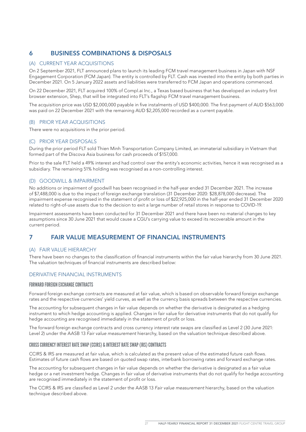## 6 BUSINESS COMBINATIONS & DISPOSALS

#### (A) CURRENT YEAR ACQUISITIONS

On 2 September 2021, FLT announced plans to launch its leading FCM travel management business in Japan with NSF Engagement Corporation (FCM Japan). The entity is controlled by FLT. Cash was invested into the entity by both parties in December 2021. On 5 January 2022 assets and liabilities were transferred to FCM Japan and operations commenced.

On 22 December 2021, FLT acquired 100% of Compl.ai Inc., a Texas based business that has developed an industry first browser extension, Shep, that will be integrated into FLT's flagship FCM travel management business.

The acquisition price was USD \$2,000,000 payable in five instalments of USD \$400,000. The first payment of AUD \$563,000 was paid on 22 December 2021 with the remaining AUD \$2,205,000 recorded as a current payable.

#### (B) PRIOR YEAR ACQUISITIONS

There were no acquisitions in the prior period.

#### (C) PRIOR YEAR DISPOSALS

During the prior period FLT sold Thien Minh Transportation Company Limited, an immaterial subsidiary in Vietnam that formed part of the Discova Asia business for cash proceeds of \$157,000.

Prior to the sale FLT held a 49% interest and had control over the entity's economic activities, hence it was recognised as a subsidiary. The remaining 51% holding was recognised as a non-controlling interest.

#### (D) GOODWILL & IMPAIRMENT

No additions or impairment of goodwill has been recognised in the half-year ended 31 December 2021. The increase of \$7,488,000 is due to the impact of foreign exchange translation (31 December 2020: \$28,878,000 decrease). The impairment expense recognised in the statement of profit or loss of \$22,925,000 in the half-year ended 31 December 2020 related to right-of-use assets due to the decision to exit a large number of retail stores in response to COVID-19.

Impairment assessments have been conducted for 31 December 2021 and there have been no material changes to key assumptions since 30 June 2021 that would cause a CGU's carrying value to exceed its recoverable amount in the current period.

### 7 FAIR VALUE MEASUREMENT OF FINANCIAL INSTRUMENTS

#### (A) FAIR VALUE HIERARCHY

There have been no changes to the classification of financial instruments within the fair value hierarchy from 30 June 2021. The valuation techniques of financial instruments are described below:

#### DERIVATIVE FINANCIAL INSTRUMENTS

#### FORWARD FOREIGN EXCHANGE CONTRACTS

Forward foreign exchange contracts are measured at fair value, which is based on observable forward foreign exchange rates and the respective currencies' yield curves, as well as the currency basis spreads between the respective currencies.

The accounting for subsequent changes in fair value depends on whether the derivative is designated as a hedging instrument to which hedge accounting is applied. Changes in fair value for derivative instruments that do not qualify for hedge accounting are recognised immediately in the statement of profit or loss.

The forward foreign exchange contracts and cross currency interest rate swaps are classified as Level 2 (30 June 2021: Level 2) under the AASB 13 *Fair value measurement* hierarchy, based on the valuation technique described above.

#### CROSS CURRENCY INTEREST RATE SWAP (CCIRS) & INTEREST RATE SWAP (IRS) CONTRACTS

CCIRS & IRS are measured at fair value, which is calculated as the present value of the estimated future cash flows. Estimates of future cash flows are based on quoted swap rates, interbank borrowing rates and forward exchange rates.

The accounting for subsequent changes in fair value depends on whether the derivative is designated as a fair value hedge or a net investment hedge. Changes in fair value of derivative instruments that do not qualify for hedge accounting are recognised immediately in the statement of profit or loss.

The CCIRS & IRS are classified as Level 2 under the AASB 13 *Fair value measurement* hierarchy, based on the valuation technique described above.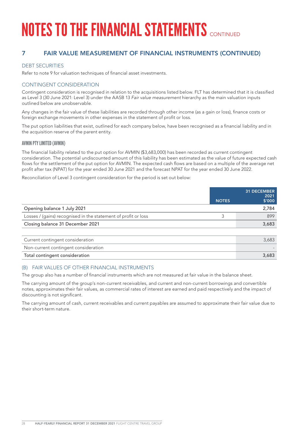## 7 FAIR VALUE MEASUREMENT OF FINANCIAL INSTRUMENTS (CONTINUED)

### DEBT SECURITIES

Refer to note 9 for valuation techniques of financial asset investments.

### CONTINGENT CONSIDERATION

Contingent consideration is recognised in relation to the acquisitions listed below. FLT has determined that it is classified as Level 3 (30 June 2021: Level 3) under the AASB 13 *Fair value measurement* hierarchy as the main valuation inputs outlined below are unobservable.

Any changes in the fair value of these liabilities are recorded through other income (as a gain or loss), finance costs or foreign exchange movements in other expenses in the statement of profit or loss.

The put option liabilities that exist, outlined for each company below, have been recognised as a financial liability and in the acquisition reserve of the parent entity.

#### AVMIN PTY LIMITED (AVMIN)

The financial liability related to the put option for AVMIN (\$3,683,000) has been recorded as current contingent consideration. The potential undiscounted amount of this liability has been estimated as the value of future expected cash flows for the settlement of the put option for AVMIN. The expected cash flows are based on a multiple of the average net profit after tax (NPAT) for the year ended 30 June 2021 and the forecast NPAT for the year ended 30 June 2022.

Reconciliation of Level 3 contingent consideration for the period is set out below:

|                                                                | <b>NOTES</b> | <b>31 DECEMBER</b><br>2021<br>\$′000 |
|----------------------------------------------------------------|--------------|--------------------------------------|
| Opening balance 1 July 2021                                    |              | 2,784                                |
| Losses / (gains) recognised in the statement of profit or loss | 3            | 899                                  |
| Closing balance 31 December 2021                               |              | 3,683                                |
|                                                                |              |                                      |
| Current contingent consideration                               |              | 3,683                                |
| Non-current contingent consideration                           |              |                                      |
| Total contingent consideration                                 |              | 3,683                                |

#### (B) FAIR VALUES OF OTHER FINANCIAL INSTRUMENTS

The group also has a number of financial instruments which are not measured at fair value in the balance sheet.

The carrying amount of the group's non-current receivables, and current and non-current borrowings and convertible notes, approximates their fair values, as commercial rates of interest are earned and paid respectively and the impact of discounting is not significant.

The carrying amount of cash, current receivables and current payables are assumed to approximate their fair value due to their short-term nature.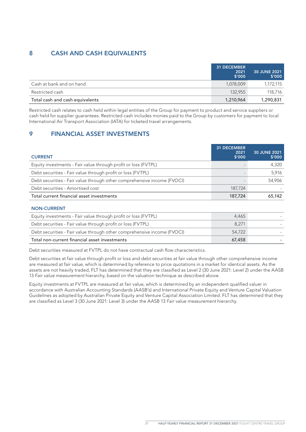## 8 CASH AND CASH EQUIVALENTS

|                                 | <b>31 DECEMBER</b><br>2021<br>\$'000 | <b>30 JUNE 2021</b><br>\$′000 |
|---------------------------------|--------------------------------------|-------------------------------|
| Cash at bank and on hand        | 1,078,009                            | 1,172,115                     |
| Restricted cash                 | 132.955                              | 118,716                       |
| Total cash and cash equivalents | 1,210,964                            | 1,290,831                     |

Restricted cash relates to cash held within legal entities of the Group for payment to product and service suppliers or cash held for supplier guarantees. Restricted cash includes monies paid to the Group by customers for payment to local International Air Transport Association (IATA) for ticketed travel arrangements.

## 9 FINANCIAL ASSET INVESTMENTS

| <b>CURRENT</b>                                                          | <b>31 DECEMBER</b><br>2021<br>\$′000 | 30 JUNE 2021<br>\$′000 |
|-------------------------------------------------------------------------|--------------------------------------|------------------------|
| Equity investments - Fair value through profit or loss (FVTPL)          |                                      | 4,320                  |
| Debt securities - Fair value through profit or loss (FVTPL)             |                                      | 5,916                  |
| Debt securities - Fair value through other comprehensive income (FVOCI) |                                      | 54,906                 |
| Debt securities - Amortised cost                                        | 187,724                              |                        |
| Total current financial asset investments                               | 187,724                              | 65,142                 |

#### NON-CURRENT

| Equity investments - Fair value through profit or loss (FVTPL)          | 4.465  |  |
|-------------------------------------------------------------------------|--------|--|
| Debt securities - Fair value through profit or loss (FVTPL)             | 8.271  |  |
| Debt securities - Fair value through other comprehensive income (FVOCI) | 54,722 |  |
| Total non-current financial asset investments                           | 67.458 |  |

Debt securities measured at FVTPL do not have contractual cash flow characteristics.

Debt securities at fair value through profit or loss and debt securities at fair value through other comprehensive income are measured at fair value, which is determined by reference to price quotations in a market for identical assets. As the assets are not heavily traded, FLT has determined that they are classified as Level 2 (30 June 2021: Level 2) under the AASB 13 *Fair value measurement* hierarchy, based on the valuation technique as described above.

Equity investments at FVTPL are measured at fair value, which is determined by an independent qualified valuer in accordance with Australian Accounting Standards (AASB's) and International Private Equity and Venture Capital Valuation Guidelines as adopted by Australian Private Equity and Venture Capital Association Limited. FLT has determined that they are classified as Level 3 (30 June 2021: Level 3) under the AASB 13 *Fair value measurement* hierarchy.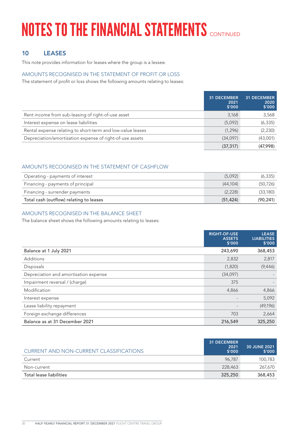## 10 LEASES

This note provides information for leases where the group is a lessee.

### AMOUNTS RECOGNISED IN THE STATEMENT OF PROFIT OR LOSS

The statement of profit or loss shows the following amounts relating to leases:

|                                                            | <b>31 DECEMBER</b><br>2021<br>\$'000 | <b>31 DECEMBER</b><br>2020<br>\$′000 |
|------------------------------------------------------------|--------------------------------------|--------------------------------------|
| Rent income from sub-leasing of right-of-use asset         | 3,168                                | 3,568                                |
| Interest expense on lease liabilities                      | (5,092)                              | (6, 335)                             |
| Rental expense relating to short-term and low-value leases | (1, 296)                             | (2, 230)                             |
| Depreciation/amortisation expense of right-of-use assets   | (34,097)                             | (43,001)                             |
|                                                            | (37, 317)                            | (47,998)                             |

### AMOUNTS RECOGNISED IN THE STATEMENT OF CASHFLOW

| Operating - payments of interest        | (5,092)   | (6, 335)  |
|-----------------------------------------|-----------|-----------|
| Financing - payments of principal       | (44.104)  | (50, 726) |
| Financing - surrender payments          | (2,228)   | (33,180)  |
| Total cash (outflow) relating to leases | (51, 424) | (90, 241) |

### AMOUNTS RECOGNISED IN THE BALANCE SHEET

The balance sheet shows the following amounts relating to leases:

|                                       | <b>RIGHT-OF-USE</b><br><b>ASSETS</b><br>\$'000 | <b>LEASE</b><br><b>LIABILITIES</b><br>\$′000 |
|---------------------------------------|------------------------------------------------|----------------------------------------------|
| Balance at 1 July 2021                | 243,690                                        | 368,453                                      |
| <b>Additions</b>                      | 2,832                                          | 2,817                                        |
| Disposals                             | (1,820)                                        | (9,446)                                      |
| Depreciation and amortisation expense | (34,097)                                       |                                              |
| Impairment reversal / (charge)        | 375                                            |                                              |
| Modification                          | 4,866                                          | 4,866                                        |
| Interest expense                      |                                                | 5,092                                        |
| Lease liability repayment             | $\overline{\phantom{0}}$                       | (49, 196)                                    |
| Foreign exchange differences          | 703                                            | 2,664                                        |
| Balance as at 31 December 2021        | 216,549                                        | 325,250                                      |

| CURRENT AND NON-CURRENT CLASSIFICATIONS | <b>31 DECEMBER</b><br>2021<br>\$'000 | <b>30 JUNE 2021</b><br>\$'000 |
|-----------------------------------------|--------------------------------------|-------------------------------|
| Current                                 | 96.787                               | 100,783                       |
| Non-current                             | 228,463                              | 267,670                       |
| Total lease liabilities                 | 325,250                              | 368,453                       |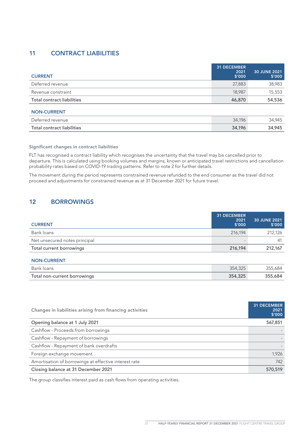## 11 CONTRACT LIABILITIES

| <b>CURRENT</b>             | <b>31 DECEMBER</b><br>2021<br>\$'000 | 30 JUNE 2021<br>\$′000 |
|----------------------------|--------------------------------------|------------------------|
| Deferred revenue           | 27,883                               | 38,983                 |
| Revenue constraint         | 18,987                               | 15,553                 |
| Total contract liabilities | 46,870                               | 54,536                 |
| <b>NON-CURRENT</b>         |                                      |                        |
| Deferred revenue           | 34,196                               | 34,945                 |
| Total contract liabilities | 34,196                               | 34,945                 |

Significant changes in contract liabilities

FLT has recognised a contract liability which recognises the uncertainty that the travel may be cancelled prior to departure. This is calculated using booking volumes and margins, known or anticipated travel restrictions and cancellation probability rates based on COVID-19 trading patterns. Refer to note 2 for further details.

The movement during the period represents constrained revenue refunded to the end consumer as the travel did not proceed and adjustments for constrained revenue as at 31 December 2021 for future travel.

### 12 BORROWINGS

| <b>CURRENT</b>                | <b>31 DECEMBER</b><br>2021<br>\$'000 | <b>30 JUNE 2021</b><br>\$'000 |
|-------------------------------|--------------------------------------|-------------------------------|
| Bank loans                    | 216.194                              | 212,126                       |
| Net unsecured notes principal |                                      | 41                            |
| Total current borrowings      | 216,194                              | 212,167                       |
| <b>NON-CURRENT</b>            |                                      |                               |

| Bank loans                   | 354,325 | 355.684 |
|------------------------------|---------|---------|
| Total non-current borrowings | 354,325 | 355,684 |

| Changes in liabilities arising from financing activities | <b>31 DECEMBER</b><br>2021<br>\$'000 |
|----------------------------------------------------------|--------------------------------------|
| Opening balance at 1 July 2021                           | 567,851                              |
| Cashflow - Proceeds from borrowings                      |                                      |
| Cashflow - Repayment of borrowings                       |                                      |
| Cashflow - Repayment of bank overdrafts                  |                                      |
| Foreign exchange movement                                | 1,926                                |
| Amortisation of borrowings at effective interest rate    | 742                                  |
| Closing balance at 31 December 2021                      | 570,519                              |

The group classifies interest paid as cash flows from operating activities.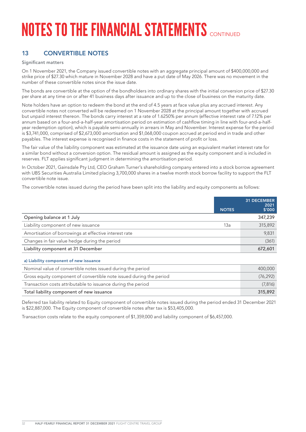## 13 CONVERTIBLE NOTES

a) Liability component of new issuance

#### Significant matters

On 1 November 2021, the Company issued convertible notes with an aggregate principal amount of \$400,000,000 and strike price of \$27.30 which mature in November 2028 and have a put date of May 2026. There was no movement in the number of these convertible notes since the issue date.

The bonds are convertible at the option of the bondholders into ordinary shares with the initial conversion price of \$27.30 per share at any time on or after 41 business days after issuance and up to the close of business on the maturity date.

Note holders have an option to redeem the bond at the end of 4.5 years at face value plus any accrued interest. Any convertible notes not converted will be redeemed on 1 November 2028 at the principal amount together with accrued but unpaid interest thereon. The bonds carry interest at a rate of 1.6250% per annum (effective interest rate of 7.12% per annum based on a four-and-a-half-year amortisation period on estimation of cashflow timing in line with four-and-a-halfyear redemption option), which is payable semi-annually in arrears in May and November. Interest expense for the period is \$3,741,000, comprised of \$2,673,000 amortisation and \$1,068,000 coupon accrued at period end in trade and other payables. The interest expense is recognised in finance costs in the statement of profit or loss.

The fair value of the liability component was estimated at the issuance date using an equivalent market interest rate for a similar bond without a conversion option. The residual amount is assigned as the equity component and is included in reserves. FLT applies significant judgment in determining the amortisation period.

In October 2021, Gainsdale Pty Ltd, CEO Graham Turner's shareholding company entered into a stock borrow agreement with UBS Securities Australia Limited placing 3,700,000 shares in a twelve month stock borrow facility to support the FLT convertible note issue.

The convertible notes issued during the period have been split into the liability and equity components as follows:

| <b>NOTES</b> | <b>31 DECEMBER</b><br>2021<br>\$′000 |
|--------------|--------------------------------------|
|              | 347,239                              |
| 13a          | 315,892                              |
|              | 9,831                                |
|              | (361)                                |
|              | 672,601                              |
|              |                                      |

| Nominal value of convertible notes issued during the period         | 400,000   |
|---------------------------------------------------------------------|-----------|
| Gross equity component of convertible note issued during the period | (76, 292) |
| Transaction costs attributable to issuance during the period        | (7,816)   |
| Total liability component of new issuance                           | 315,892   |
|                                                                     |           |

Deferred tax liability related to Equity component of convertible notes issued during the period ended 31 December 2021 is \$22,887,000. The Equity component of convertible notes after tax is \$53,405,000.

Transaction costs relate to the equity component of \$1,359,000 and liability component of \$6,457,000.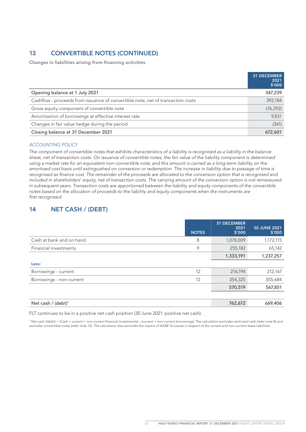## 13 CONVERTIBLE NOTES (CONTINUED)

Changes in liabilities arising from financing activities

|                                                                                 | 31 DECEMBER<br>2021<br>\$'000 |
|---------------------------------------------------------------------------------|-------------------------------|
| Opening balance at 1 July 2021                                                  | 347,239                       |
| Cashflow - proceeds from issuance of convertible note, net of transaction costs | 392,184                       |
| Gross equity component of convertible note                                      | (76, 292)                     |
| Amortisation of borrowings at effective interest rate                           | 9,831                         |
| Changes in fair value hedge during the period                                   | (361)                         |
| Closing balance at 31 December 2021                                             | 672,601                       |

#### *ACCOUNTING POLICY*

*The component of convertible notes that exhibits characteristics of a liability is recognised as a liability in the balance sheet, net of transaction costs. On issuance of convertible notes, the fair value of the liability component is determined using a market rate for an equivalent non-convertible note; and this amount is carried as a long-term liability on the amortised cost basis until extinguished on conversion or redemption. The increase in liability due to passage of time is recognised as finance cost. The remainder of the proceeds are allocated to the conversion option that is recognised and*  included in shareholders' equity, net of transaction costs. The carrying amount of the conversion option is not remeasured *in subsequent years. Transaction costs are apportioned between the liability and equity components of the convertible notes based on the allocation of proceeds to the liability and equity components when the instruments are first recognised.*

### 14 NET CASH / (DEBT)

|                                | <b>NOTES</b> | 31 DECEMBER<br>2021<br>\$'000 | <b>30 JUNE 2021</b><br>\$′000 |
|--------------------------------|--------------|-------------------------------|-------------------------------|
| Cash at bank and on hand       | 8            | 1,078,009                     | 1,172,115                     |
| Financial investments          | 9            | 255,182                       | 65,142                        |
|                                |              | 1,333,191                     | 1,237,257                     |
| Less:                          |              |                               |                               |
| Borrowings - current           | 12           | 216,194                       | 212,167                       |
| Borrowings - non-current       | 12           | 354,325                       | 355,684                       |
|                                |              | 570,519                       | 567,851                       |
|                                |              |                               |                               |
| Net cash / (debt) <sup>1</sup> |              | 762,672                       | 669,406                       |

FLT continues to be in a positive net cash position (30 June 2021: positive net cash).

*1 Net cash /(debt) = (Cash + current + non-current financial investments) – (current + non-current borrowings). The calculation excludes restricted cash (refer note 8) and excludes convertible notes (refer note 13). The calculation also excludes the impact of AASB 16 Leases in respect of the current and non-current lease liabilities.*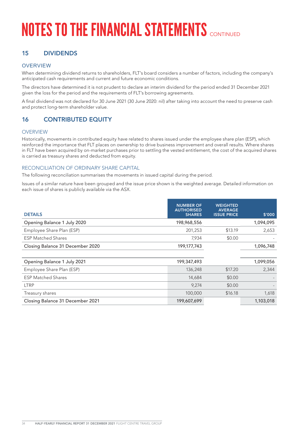## 15 DIVIDENDS

#### **OVERVIEW**

When determining dividend returns to shareholders, FLT's board considers a number of factors, including the company's anticipated cash requirements and current and future economic conditions.

The directors have determined it is not prudent to declare an interim dividend for the period ended 31 December 2021 given the loss for the period and the requirements of FLT's borrowing agreements.

A final dividend was not declared for 30 June 2021 (30 June 2020: nil) after taking into account the need to preserve cash and protect long-term shareholder value.

### 16 CONTRIBUTED EQUITY

#### **OVERVIEW**

Historically, movements in contributed equity have related to shares issued under the employee share plan (ESP), which reinforced the importance that FLT places on ownership to drive business improvement and overall results. Where shares in FLT have been acquired by on-market purchases prior to settling the vested entitlement, the cost of the acquired shares is carried as treasury shares and deducted from equity.

#### RECONCILIATION OF ORDINARY SHARE CAPITAL

The following reconciliation summarises the movements in issued capital during the period.

Issues of a similar nature have been grouped and the issue price shown is the weighted average. Detailed information on each issue of shares is publicly available via the ASX.

|                                  | <b>NUMBER OF</b><br><b>AUTHORISED</b> | <b>WEIGHTED</b><br><b>AVERAGE</b> |           |
|----------------------------------|---------------------------------------|-----------------------------------|-----------|
| <b>DETAILS</b>                   | <b>SHARES</b>                         | <b>ISSUE PRICE</b>                | \$′000    |
| Opening Balance 1 July 2020      | 198,968,556                           |                                   | 1,094,095 |
| Employee Share Plan (ESP)        | 201,253                               | \$13.19                           | 2,653     |
| <b>ESP Matched Shares</b>        | 7,934                                 | \$0.00                            |           |
| Closing Balance 31 December 2020 | 199,177,743                           |                                   | 1,096,748 |
|                                  |                                       |                                   |           |
| Opening Balance 1 July 2021      | 199,347,493                           |                                   | 1,099,056 |
| Employee Share Plan (ESP)        | 136,248                               | \$17.20                           | 2,344     |
| <b>ESP Matched Shares</b>        | 14,684                                | \$0.00                            |           |
| <b>LTRP</b>                      | 9,274                                 | \$0.00                            |           |
| Treasury shares                  | 100,000                               | \$16.18                           | 1,618     |
| Closing Balance 31 December 2021 | 199,607,699                           |                                   | 1,103,018 |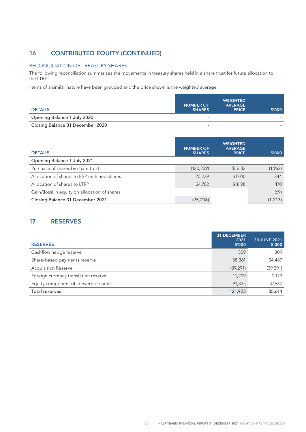## 16 CONTRIBUTED EQUITY (CONTINUED)

#### RECONCILIATION OF TREASURY SHARES

The following reconciliation summarises the movements in treasury shares held in a share trust for future allocation to the LTRP.

Items of a similar nature have been grouped and the price shown is the weighted average.

| <b>DETAILS</b>                   | <b>NUMBER OF</b><br><b>SHARES</b> | <b>WEIGHTED</b><br><b>AVERAGE</b><br><b>PRICE</b> | \$′000 |
|----------------------------------|-----------------------------------|---------------------------------------------------|--------|
| Opening Balance 1 July 2020      | $\overline{\phantom{a}}$          |                                                   | -      |
| Closing Balance 31 December 2020 |                                   |                                                   |        |

| <b>DETAILS</b>                                | <b>NUMBER OF</b><br><b>SHARES</b> | <b>WEIGHTED</b><br><b>AVERAGE</b><br><b>PRICE</b> | \$′000   |
|-----------------------------------------------|-----------------------------------|---------------------------------------------------|----------|
| Opening Balance 1 July 2021                   |                                   |                                                   |          |
| Purchase of shares by share trust             | (120, 239)                        | \$16.32                                           | (1,962)  |
| Allocation of shares to ESP matched shares    | 20,239                            | \$17.00                                           | 344      |
| Allocation of shares to LTRP                  | 24,782                            | \$18.98                                           | 470      |
| Gain/(loss) in equity on allocation of shares |                                   |                                                   | (69)     |
| Closing Balance 31 December 2021              | (75, 218)                         |                                                   | (1, 217) |

## 17 RESERVES

| <b>RESERVES</b>                      | <b>31 DECEMBER</b><br>2021<br>\$'000 | 30 JUNE 2021<br>\$'000 |
|--------------------------------------|--------------------------------------|------------------------|
| Cashflow hedge reserve               | 309                                  | 309                    |
| Share-based payments reserve         | 58,361                               | 34,487                 |
| <b>Acquisition Reserve</b>           | (39, 291)                            | (39, 291)              |
| Foreign currency translation reserve | 11,209                               | 2,179                  |
| Equity component of convertible note | 91,335                               | 37,930                 |
| Total reserves                       | 121,923                              | 35,614                 |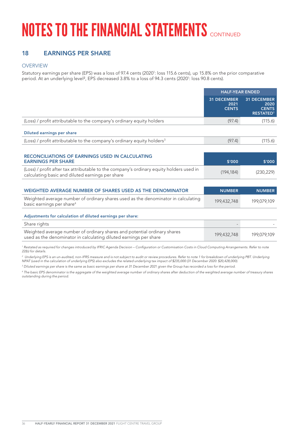## 18 EARNINGS PER SHARE

#### **OVERVIEW**

Statutory earnings per share (EPS) was a loss of 97.4 cents (2020': loss 115.6 cents), up 15.8% on the prior comparative period. At an underlying level<sup>2</sup>, EPS decreased 3.8% to a loss of 94.3 cents (2020': loss 90.8 cents).

|                                                                                                                                                                                 | <b>HALF-YEAR ENDED</b>                     |                                                                |
|---------------------------------------------------------------------------------------------------------------------------------------------------------------------------------|--------------------------------------------|----------------------------------------------------------------|
|                                                                                                                                                                                 | <b>31 DECEMBER</b><br>2021<br><b>CENTS</b> | <b>31 DECEMBER</b><br>2020<br><b>CENTS</b><br><b>RESTATED1</b> |
| (Loss) / profit attributable to the company's ordinary equity holders                                                                                                           | (97.4)                                     | (115.6)                                                        |
| Diluted earnings per share                                                                                                                                                      |                                            |                                                                |
| (Loss) / profit attributable to the company's ordinary equity holders <sup>3</sup>                                                                                              | (97.4)                                     | (115.6)                                                        |
|                                                                                                                                                                                 |                                            |                                                                |
| <b>RECONCILIATIONS OF EARNINGS USED IN CALCULATING</b><br><b>EARNINGS PER SHARE</b>                                                                                             | \$'000                                     | \$'000                                                         |
| (Loss) / profit after tax attributable to the company's ordinary equity holders used in<br>calculating basic and diluted earnings per share                                     | (194, 184)                                 | (230, 229)                                                     |
|                                                                                                                                                                                 |                                            |                                                                |
| WEIGHTED AVERAGE NUMBER OF SHARES USED AS THE DENOMINATOR                                                                                                                       | <b>NUMBER</b>                              | <b>NUMBER</b>                                                  |
| Weighted average number of ordinary shares used as the denominator in calculating<br>basic earnings per share <sup>4</sup>                                                      | 199,432,748                                | 199,079,109                                                    |
| Adjustments for calculation of diluted earnings per share:                                                                                                                      |                                            |                                                                |
| Share rights                                                                                                                                                                    |                                            |                                                                |
| Weighted average number of ordinary shares and potential ordinary shares<br>used as the denominator in calculating diluted earnings per share                                   | 199,432,748                                | 199,079,109                                                    |
| Restated as required for changes introduced by IFRIC Agenda Decision – Configuration or Customisation Costs in Cloud Computing Arrangements. Refer to note<br>22(b) for details |                                            |                                                                |

*2 Underlying EPS is an un-audited, non-IFRS measure and is not subject to audit or review procedures. Refer to note 1 for breakdown of underlying PBT. Underlying NPAT (used in the calculation of underlying EPS) also excludes the related underlying tax impact of \$235,000 (31 December 2020: \$20,428,000).*

*3 Diluted earnings per share is the same as basic earnings per share at 31 December 2021 given the Group has recorded a loss for the period.*

*4 The basic EPS denominator is the aggregate of the weighted average number of ordinary shares after deduction of the weighted average number of treasury shares outstanding during the period.*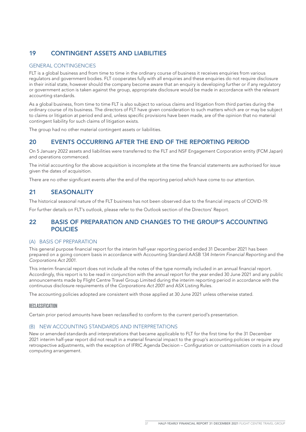## 19 CONTINGENT ASSETS AND LIABILITIES

#### GENERAL CONTINGENCIES

FLT is a global business and from time to time in the ordinary course of business it receives enquiries from various regulators and government bodies. FLT cooperates fully with all enquiries and these enquiries do not require disclosure in their initial state, however should the company become aware that an enquiry is developing further or if any regulatory or government action is taken against the group, appropriate disclosure would be made in accordance with the relevant accounting standards.

As a global business, from time to time FLT is also subject to various claims and litigation from third parties during the ordinary course of its business. The directors of FLT have given consideration to such matters which are or may be subject to claims or litigation at period end and, unless specific provisions have been made, are of the opinion that no material contingent liability for such claims of litigation exists.

The group had no other material contingent assets or liabilities.

### 20 EVENTS OCCURRING AFTER THE END OF THE REPORTING PERIOD

On 5 January 2022 assets and liabilities were transferred to the FLT and NSF Engagement Corporation entity (FCM Japan) and operations commenced.

The initial accounting for the above acquisition is incomplete at the time the financial statements are authorised for issue given the dates of acquisition.

There are no other significant events after the end of the reporting period which have come to our attention.

### 21 SEASONALITY

The historical seasonal nature of the FLT business has not been observed due to the financial impacts of COVID-19.

For further details on FLT's outlook, please refer to the Outlook section of the Directors' Report.

### 22 BASIS OF PREPARATION AND CHANGES TO THE GROUP'S ACCOUNTING POLICIES

#### (A) BASIS OF PREPARATION

This general purpose financial report for the interim half-year reporting period ended 31 December 2021 has been prepared on a going concern basis in accordance with Accounting Standard AASB 134 *Interim Financial Reporting* and the *Corporations Act 2001*.

This interim financial report does not include all the notes of the type normally included in an annual financial report. Accordingly, this report is to be read in conjunction with the annual report for the year ended 30 June 2021 and any public announcements made by Flight Centre Travel Group Limited during the interim reporting period in accordance with the continuous disclosure requirements of the *Corporations Act 2001* and ASX Listing Rules.

The accounting policies adopted are consistent with those applied at 30 June 2021 unless otherwise stated.

#### RECLASSIFICATION

Certain prior period amounts have been reclassified to conform to the current period's presentation.

#### (B) NEW ACCOUNTING STANDARDS AND INTERPRETATIONS

New or amended standards and interpretations that became applicable to FLT for the first time for the 31 December 2021 interim half-year report did not result in a material financial impact to the group's accounting policies or require any retrospective adjustments, with the exception of IFRIC Agenda Decision – Configuration or customisation costs in a cloud computing arrangement.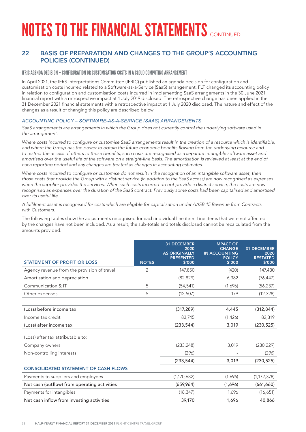### 22 BASIS OF PREPARATION AND CHANGES TO THE GROUP'S ACCOUNTING POLICIES (CONTINUED)

#### IFRIC AGENDA DECISION – CONFIGURATION OR CUSTOMISATION COSTS IN A CLOUD COMPUTING ARRANGEMENT

In April 2021, the IFRS Interpretations Committee (IFRIC) published an agenda decision for configuration and customisation costs incurred related to a Software-as-a-Service (SaaS) arrangement. FLT changed its accounting policy in relation to configuration and customisation costs incurred in implementing SaaS arrangements in the 30 June 2021 financial report with a retrospective impact at 1 July 2019 disclosed. The retrospective change has been applied in the 31 December 2021 financial statements with a retrospective impact at 1 July 2020 disclosed. The nature and effect of the changes as a result of changing this policy are described below.

#### *ACCOUNTING POLICY – SOFTWARE-AS-A-SERVICE (SAAS) ARRANGEMENTS*

*SaaS arrangements are arrangements in which the Group does not currently control the underlying software used in the arrangement.*

*Where costs incurred to configure or customise SaaS arrangements result in the creation of a resource which is identifiable, and where the Group has the power to obtain the future economic benefits flowing from the underlying resource and to restrict the access of others to those benefits, such costs are recognised as a separate intangible software asset and amortised over the useful life of the software on a straight-line basis. The amortisation is reviewed at least at the end of each reporting period and any changes are treated as changes in accounting estimates.*

Where costs incurred to configure or customise do not result in the recognition of an intangible software asset, then *those costs that provide the Group with a distinct service (in addition to the SaaS access) are now recognised as expenses when the supplier provides the services. When such costs incurred do not provide a distinct service, the costs are now*  recognised as expenses over the duration of the SaaS contract. Previously some costs had been capitalised and amortised *over its useful life.*

*A fulfilment asset is recognised for costs which are eligible for capitalisation under AASB 15 Revenue from Contracts with Customers.*

The following tables show the adjustments recognised for each individual line item. Line items that were not affected by the changes have not been included. As a result, the sub-totals and totals disclosed cannot be recalculated from the amounts provided.

| <b>STATEMENT OF PROFIT OR LOSS</b>           | <b>NOTES</b> | <b>31 DECEMBER</b><br>2020<br><b>AS ORIGINALLY</b><br><b>PRESENTED</b><br>\$'000 | <b>IMPACT OF</b><br><b>CHANGE</b><br><b>IN ACCOUNTING</b><br><b>POLICY</b><br>\$'000 | <b>31 DECEMBER</b><br>2020<br><b>RESTATED</b><br>\$'000 |
|----------------------------------------------|--------------|----------------------------------------------------------------------------------|--------------------------------------------------------------------------------------|---------------------------------------------------------|
| Agency revenue from the provision of travel  | 2            | 147,850                                                                          | (420)                                                                                | 147,430                                                 |
| Amortisation and depreciation                |              | (82, 829)                                                                        | 6,382                                                                                | (76, 447)                                               |
| Communication & IT                           | 5            | (54, 541)                                                                        | (1,696)                                                                              | (56, 237)                                               |
| Other expenses                               | 5            | (12, 507)                                                                        | 179                                                                                  | (12, 328)                                               |
|                                              |              |                                                                                  |                                                                                      |                                                         |
| (Loss) before income tax                     |              | (317, 289)                                                                       | 4,445                                                                                | (312, 844)                                              |
| Income tax credit                            |              | 83,745                                                                           | (1,426)                                                                              | 82,319                                                  |
| (Loss) after income tax                      |              | (233, 544)                                                                       | 3,019                                                                                | (230, 525)                                              |
| (Loss) after tax attributable to:            |              |                                                                                  |                                                                                      |                                                         |
| Company owners                               |              | (233, 248)                                                                       | 3,019                                                                                | (230, 229)                                              |
| Non-controlling interests                    |              | (296)                                                                            |                                                                                      | (296)                                                   |
|                                              |              | (233, 544)                                                                       | 3,019                                                                                | (230, 525)                                              |
| <b>CONSOLIDATED STATEMENT OF CASH FLOWS</b>  |              |                                                                                  |                                                                                      |                                                         |
| Payments to suppliers and employees          |              | (1,170,682)                                                                      | (1,696)                                                                              | (1, 172, 378)                                           |
| Net cash (outflow) from operating activities |              | (659, 964)                                                                       | (1,696)                                                                              | (661, 660)                                              |
| Payments for intangibles                     |              | (18, 347)                                                                        | 1,696                                                                                | (16,651)                                                |
| Net cash inflow from investing activities    |              | 39,170                                                                           | 1,696                                                                                | 40,866                                                  |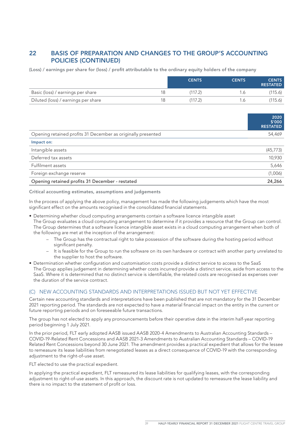### 22 BASIS OF PREPARATION AND CHANGES TO THE GROUP'S ACCOUNTING POLICIES (CONTINUED)

(Loss) / earnings per share for (loss) / profit attributable to the ordinary equity holders of the company

|                                     |     | <b>CENTS</b> | <b>CENTS</b>   | <b>CENTS</b><br><b>RESTATED</b> |
|-------------------------------------|-----|--------------|----------------|---------------------------------|
| Basic (loss) / earnings per share   | 18  | (117.2)      |                | (115.6)                         |
| Diluted (loss) / earnings per share | 18. | (117.2)      | $\overline{a}$ | (115.6)                         |

|                                                              | 2020<br>\$′000<br><b>RESTATED</b> |
|--------------------------------------------------------------|-----------------------------------|
| Opening retained profits 31 December as originally presented | 54,469                            |
| Impact on:                                                   |                                   |
| Intangible assets                                            | (45, 773)                         |
| Deferred tax assets                                          | 10,930                            |
| Fulfilment assets                                            | 5,646                             |
| Foreign exchange reserve                                     | (1,006)                           |
| Opening retained profits 31 December - restated              | 24,266                            |

Critical accounting estimates, assumptions and judgements

In the process of applying the above policy, management has made the following judgements which have the most significant effect on the amounts recognised in the consolidated financial statements.

• Determining whether cloud computing arrangements contain a software licence intangible asset

The Group evaluates a cloud computing arrangement to determine if it provides a resource that the Group can control. The Group determines that a software licence intangible asset exists in a cloud computing arrangement when both of the following are met at the inception of the arrangement:

- The Group has the contractual right to take possession of the software during the hosting period without significant penalty.
- It is feasible for the Group to run the software on its own hardware or contract with another party unrelated to the supplier to host the software.
- Determination whether configuration and customisation costs provide a distinct service to access to the SaaS The Group applies judgement in determining whether costs incurred provide a distinct service, aside from access to the SaaS. Where it is determined that no distinct service is identifiable, the related costs are recognised as expenses over the duration of the service contract.

#### (C) NEW ACCOUNTING STANDARDS AND INTERPRETATIONS ISSUED BUT NOT YET EFFECTIVE

Certain new accounting standards and interpretations have been published that are not mandatory for the 31 December 2021 reporting period. The standards are not expected to have a material financial impact on the entity in the current or future reporting periods and on foreseeable future transactions.

The group has not elected to apply any pronouncements before their operative date in the interim half-year reporting period beginning 1 July 2021.

In the prior period, FLT early adopted AASB issued AASB 2020-4 Amendments to Australian Accounting Standards – COVID-19-Related Rent Concessions and AASB 2021-3 Amendments to Australian Accounting Standards – COVID-19 Related Rent Concessions beyond 30 June 2021. The amendment provides a practical expedient that allows for the lessee to remeasure its lease liabilities from renegotiated leases as a direct consequence of COVID-19 with the corresponding adjustment to the right-of-use asset.

FLT elected to use the practical expedient.

In applying the practical expedient, FLT remeasured its lease liabilities for qualifying leases, with the corresponding adjustment to right-of-use assets. In this approach, the discount rate is not updated to remeasure the lease liability and there is no impact to the statement of profit or loss.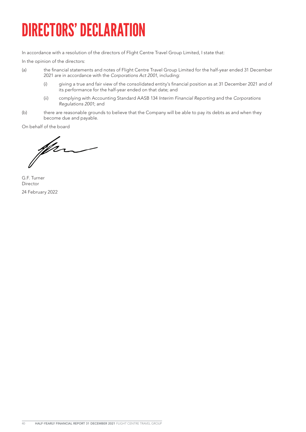# DIRECTORS' DECLARATION

In accordance with a resolution of the directors of Flight Centre Travel Group Limited, I state that:

In the opinion of the directors:

- (a) the financial statements and notes of Flight Centre Travel Group Limited for the half-year ended 31 December 2021 are in accordance with the *Corporations Act 2001*, including:
	- (i) giving a true and fair view of the consolidated entity's financial position as at 31 December 2021 and of its performance for the half-year ended on that date; and
	- (ii) complying with Accounting Standard AASB 134 *Interim Financial Reporting* and the *Corporations Regulations 2001*; and
- (b) there are reasonable grounds to believe that the Company will be able to pay its debts as and when they become due and payable.

On behalf of the board

for

G.F. Turner Director 24 February 2022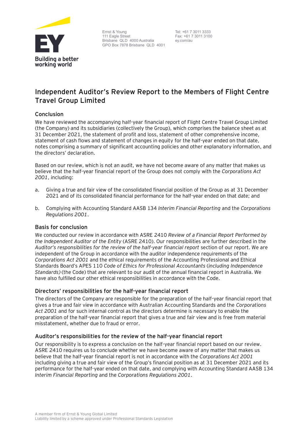

Ernst & Young 111 Eagle Street Brisbane QLD 4000 Australia GPO Box 7878 Brisbane QLD 4001

Tel: +61 7 3011 3333 Fax: +61 7 3011 3100 ey.com/au

# **Independent Auditor's Review Report to the Members of Flight Centre Travel Group Limited**

### **Conclusion**

We have reviewed the accompanying half-year financial report of Flight Centre Travel Group Limited (the Company) and its subsidiaries (collectively the Group), which comprises the balance sheet as at 31 December 2021, the statement of profit and loss, statement of other comprehensive income, statement of cash flows and statement of changes in equity for the half-year ended on that date, notes comprising a summary of significant accounting policies and other explanatory information, and the directors' declaration.

Based on our review, which is not an audit, we have not become aware of any matter that makes us believe that the half-year financial report of the Group does not comply with the *Corporations Act 2001*, including:

- a. Giving a true and fair view of the consolidated financial position of the Group as at 31 December 2021 and of its consolidated financial performance for the half-year ended on that date; and
- b. Complying with Accounting Standard AASB 134 *Interim Financial Reporting* and the *Corporations Regulations 2001*.

### **Basis for conclusion**

We conducted our review in accordance with ASRE 2410 *Review of a Financial Report Performed by the Independent Auditor of the Entity* (ASRE 2410). Our responsibilities are further described in the *Auditor's responsibilities for the review of the half-year financial report* section of our report. We are independent of the Group in accordance with the auditor independence requirements of the *Corporations Act 2001* and the ethical requirements of the Accounting Professional and Ethical Standards Board's APES 110 *Code of Ethics for Professional Accountants* (*including Independence Standards)* (the Code) that are relevant to our audit of the annual financial report in Australia. We have also fulfilled our other ethical responsibilities in accordance with the Code.

### **Directors' responsibilities for the half-year financial report**

The directors of the Company are responsible for the preparation of the half-year financial report that gives a true and fair view in accordance with Australian Accounting Standards and the *Corporations Act 2001* and for such internal control as the directors determine is necessary to enable the preparation of the half-year financial report that gives a true and fair view and is free from material misstatement, whether due to fraud or error.

#### **Auditor's responsibilities for the review of the half-year financial report**

Our responsibility is to express a conclusion on the half-year financial report based on our review. ASRE 2410 requires us to conclude whether we have become aware of any matter that makes us believe that the half-year financial report is not in accordance with the *Corporations Act 2001* including giving a true and fair view of the Group's financial position as at 31 December 2021 and its performance for the half-year ended on that date, and complying with Accounting Standard AASB 134 *Interim Financial Reporting* and the *Corporations Regulations 2001*.